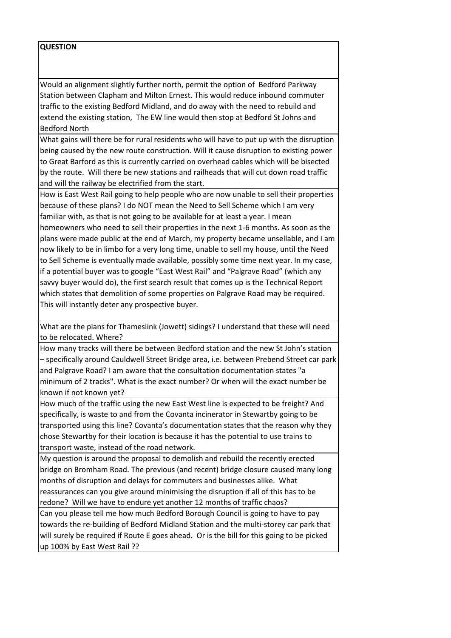## **QUESTION**

Would an alignment slightly further north, permit the option of Bedford Parkway Station between Clapham and Milton Ernest. This would reduce inbound commuter traffic to the existing Bedford Midland, and do away with the need to rebuild and extend the existing station, The EW line would then stop at Bedford St Johns and Bedford North

What gains will there be for rural residents who will have to put up with the disruption being caused by the new route construction. Will it cause disruption to existing power to Great Barford as this is currently carried on overhead cables which will be bisected by the route. Will there be new stations and railheads that will cut down road traffic and will the railway be electrified from the start.

How is East West Rail going to help people who are now unable to sell their properties because of these plans? I do NOT mean the Need to Sell Scheme which I am very familiar with, as that is not going to be available for at least a year. I mean homeowners who need to sell their properties in the next 1-6 months. As soon as the plans were made public at the end of March, my property became unsellable, and I am now likely to be in limbo for a very long time, unable to sell my house, until the Need to Sell Scheme is eventually made available, possibly some time next year. In my case, if a potential buyer was to google "East West Rail" and "Palgrave Road" (which any savvy buyer would do), the first search result that comes up is the Technical Report which states that demolition of some properties on Palgrave Road may be required. This will instantly deter any prospective buyer.

What are the plans for Thameslink (Jowett) sidings? I understand that these will need to be relocated. Where?

How many tracks will there be between Bedford station and the new St John's station – specifically around Cauldwell Street Bridge area, i.e. between Prebend Street car park and Palgrave Road? I am aware that the consultation documentation states "a minimum of 2 tracks". What is the exact number? Or when will the exact number be known if not known yet?

How much of the traffic using the new East West line is expected to be freight? And specifically, is waste to and from the Covanta incinerator in Stewartby going to be transported using this line? Covanta's documentation states that the reason why they chose Stewartby for their location is because it has the potential to use trains to transport waste, instead of the road network.

My question is around the proposal to demolish and rebuild the recently erected bridge on Bromham Road. The previous (and recent) bridge closure caused many long months of disruption and delays for commuters and businesses alike. What reassurances can you give around minimising the disruption if all of this has to be redone? Will we have to endure yet another 12 months of traffic chaos?

Can you please tell me how much Bedford Borough Council is going to have to pay towards the re-building of Bedford Midland Station and the multi-storey car park that will surely be required if Route E goes ahead. Or is the bill for this going to be picked up 100% by East West Rail ??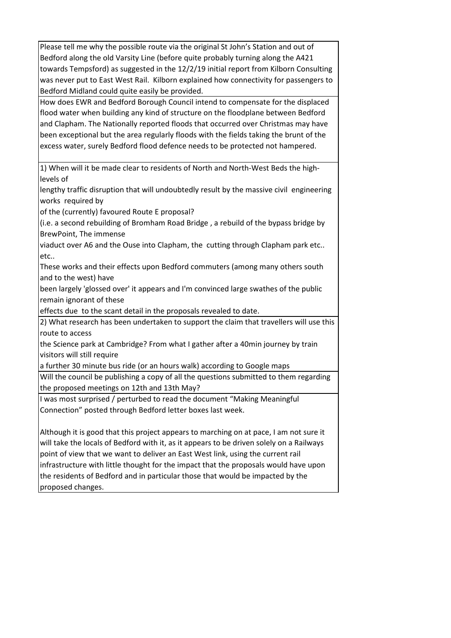Please tell me why the possible route via the original St John's Station and out of Bedford along the old Varsity Line (before quite probably turning along the A421 towards Tempsford) as suggested in the 12/2/19 initial report from Kilborn Consulting was never put to East West Rail. Kilborn explained how connectivity for passengers to Bedford Midland could quite easily be provided.

How does EWR and Bedford Borough Council intend to compensate for the displaced flood water when building any kind of structure on the floodplane between Bedford and Clapham. The Nationally reported floods that occurred over Christmas may have been exceptional but the area regularly floods with the fields taking the brunt of the excess water, surely Bedford flood defence needs to be protected not hampered.

1) When will it be made clear to residents of North and North-West Beds the highlevels of

lengthy traffic disruption that will undoubtedly result by the massive civil engineering works required by

of the (currently) favoured Route E proposal?

(i.e. a second rebuilding of Bromham Road Bridge , a rebuild of the bypass bridge by BrewPoint, The immense

viaduct over A6 and the Ouse into Clapham, the cutting through Clapham park etc.. etc..

These works and their effects upon Bedford commuters (among many others south and to the west) have

been largely 'glossed over' it appears and I'm convinced large swathes of the public remain ignorant of these

effects due to the scant detail in the proposals revealed to date.

2) What research has been undertaken to support the claim that travellers will use this route to access

the Science park at Cambridge? From what I gather after a 40min journey by train visitors will still require

a further 30 minute bus ride (or an hours walk) according to Google maps

Will the council be publishing a copy of all the questions submitted to them regarding the proposed meetings on 12th and 13th May?

I was most surprised / perturbed to read the document "Making Meaningful Connection" posted through Bedford letter boxes last week.

Although it is good that this project appears to marching on at pace, I am not sure it will take the locals of Bedford with it, as it appears to be driven solely on a Railways point of view that we want to deliver an East West link, using the current rail infrastructure with little thought for the impact that the proposals would have upon the residents of Bedford and in particular those that would be impacted by the proposed changes.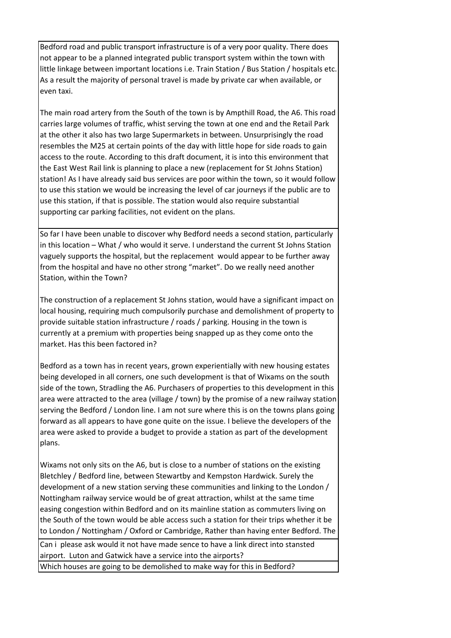Bedford road and public transport infrastructure is of a very poor quality. There does not appear to be a planned integrated public transport system within the town with little linkage between important locations i.e. Train Station / Bus Station / hospitals etc. As a result the majority of personal travel is made by private car when available, or even taxi.

The main road artery from the South of the town is by Ampthill Road, the A6. This road carries large volumes of traffic, whist serving the town at one end and the Retail Park at the other it also has two large Supermarkets in between. Unsurprisingly the road resembles the M25 at certain points of the day with little hope for side roads to gain access to the route. According to this draft document, it is into this environment that the East West Rail link is planning to place a new (replacement for St Johns Station) station! As I have already said bus services are poor within the town, so it would follow to use this station we would be increasing the level of car journeys if the public are to use this station, if that is possible. The station would also require substantial supporting car parking facilities, not evident on the plans.

So far I have been unable to discover why Bedford needs a second station, particularly in this location – What / who would it serve. I understand the current St Johns Station vaguely supports the hospital, but the replacement would appear to be further away from the hospital and have no other strong "market". Do we really need another Station, within the Town?

The construction of a replacement St Johns station, would have a significant impact on local housing, requiring much compulsorily purchase and demolishment of property to provide suitable station infrastructure / roads / parking. Housing in the town is currently at a premium with properties being snapped up as they come onto the market. Has this been factored in?

Bedford as a town has in recent years, grown experientially with new housing estates being developed in all corners, one such development is that of Wixams on the south side of the town, Stradling the A6. Purchasers of properties to this development in this area were attracted to the area (village / town) by the promise of a new railway station serving the Bedford / London line. I am not sure where this is on the towns plans going forward as all appears to have gone quite on the issue. I believe the developers of the area were asked to provide a budget to provide a station as part of the development plans.

Wixams not only sits on the A6, but is close to a number of stations on the existing Bletchley / Bedford line, between Stewartby and Kempston Hardwick. Surely the development of a new station serving these communities and linking to the London / Nottingham railway service would be of great attraction, whilst at the same time easing congestion within Bedford and on its mainline station as commuters living on the South of the town would be able access such a station for their trips whether it be to London / Nottingham / Oxford or Cambridge, Rather than having enter Bedford. The

 Can i please ask would it not have made sence to have a link direct into stansted airport. Luton and Gatwick have a service into the airports?

Which houses are going to be demolished to make way for this in Bedford?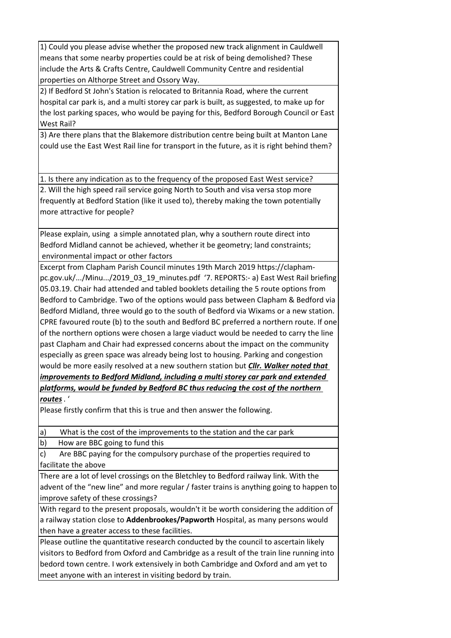1) Could you please advise whether the proposed new track alignment in Cauldwell means that some nearby properties could be at risk of being demolished? These include the Arts & Crafts Centre, Cauldwell Community Centre and residential properties on Althorpe Street and Ossory Way.

2) If Bedford St John's Station is relocated to Britannia Road, where the current hospital car park is, and a multi storey car park is built, as suggested, to make up for the lost parking spaces, who would be paying for this, Bedford Borough Council or East West Rail?

3) Are there plans that the Blakemore distribution centre being built at Manton Lane could use the East West Rail line for transport in the future, as it is right behind them?

1. Is there any indication as to the frequency of the proposed East West service? 2. Will the high speed rail service going North to South and visa versa stop more frequently at Bedford Station (like it used to), thereby making the town potentially more attractive for people?

Please explain, using a simple annotated plan, why a southern route direct into Bedford Midland cannot be achieved, whether it be geometry; land constraints; environmental impact or other factors

Excerpt from Clapham Parish Council minutes 19th March 2019 https://claphampc.gov.uk/.../Minu.../2019\_03\_19\_minutes.pdf '7. REPORTS:- a) East West Rail briefing 05.03.19. Chair had attended and tabled booklets detailing the 5 route options from Bedford to Cambridge. Two of the options would pass between Clapham & Bedford via Bedford Midland, three would go to the south of Bedford via Wixams or a new station. CPRE favoured route (b) to the south and Bedford BC preferred a northern route. If one of the northern options were chosen a large viaduct would be needed to carry the line past Clapham and Chair had expressed concerns about the impact on the community especially as green space was already being lost to housing. Parking and congestion would be more easily resolved at a new southern station but *Cllr. Walker noted that improvements to Bedford Midland, including a multi storey car park and extended platforms, would be funded by Bedford BC thus reducing the cost of the northern routes*. '

Please firstly confirm that this is true and then answer the following.

a) What is the cost of the improvements to the station and the car park

b) How are BBC going to fund this

c) Are BBC paying for the compulsory purchase of the properties required to facilitate the above

There are a lot of level crossings on the Bletchley to Bedford railway link. With the advent of the "new line" and more regular / faster trains is anything going to happen to improve safety of these crossings?

With regard to the present proposals, wouldn't it be worth considering the addition of a railway station close to **Addenbrookes/Papworth** Hospital, as many persons would then have a greater access to these facilities.

Please outline the quantitative research conducted by the council to ascertain likely visitors to Bedford from Oxford and Cambridge as a result of the train line running into bedord town centre. I work extensively in both Cambridge and Oxford and am yet to meet anyone with an interest in visiting bedord by train.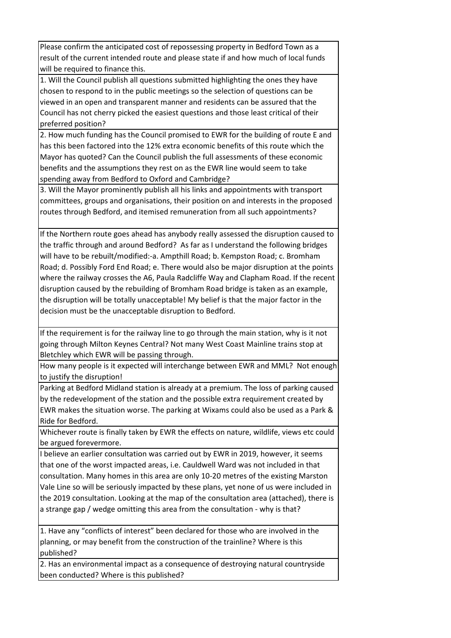Please confirm the anticipated cost of repossessing property in Bedford Town as a result of the current intended route and please state if and how much of local funds will be required to finance this.

1. Will the Council publish all questions submitted highlighting the ones they have chosen to respond to in the public meetings so the selection of questions can be viewed in an open and transparent manner and residents can be assured that the Council has not cherry picked the easiest questions and those least critical of their preferred position?

2. How much funding has the Council promised to EWR for the building of route E and has this been factored into the 12% extra economic benefits of this route which the Mayor has quoted? Can the Council publish the full assessments of these economic benefits and the assumptions they rest on as the EWR line would seem to take spending away from Bedford to Oxford and Cambridge?

3. Will the Mayor prominently publish all his links and appointments with transport committees, groups and organisations, their position on and interests in the proposed routes through Bedford, and itemised remuneration from all such appointments?

If the Northern route goes ahead has anybody really assessed the disruption caused to the traffic through and around Bedford? As far as I understand the following bridges will have to be rebuilt/modified:-a. Ampthill Road; b. Kempston Road; c. Bromham Road; d. Possibly Ford End Road; e. There would also be major disruption at the points where the railway crosses the A6, Paula Radcliffe Way and Clapham Road. If the recent disruption caused by the rebuilding of Bromham Road bridge is taken as an example, the disruption will be totally unacceptable! My belief is that the major factor in the decision must be the unacceptable disruption to Bedford.

If the requirement is for the railway line to go through the main station, why is it not going through Milton Keynes Central? Not many West Coast Mainline trains stop at Bletchley which EWR will be passing through.

How many people is it expected will interchange between EWR and MML? Not enough to justify the disruption!

Parking at Bedford Midland station is already at a premium. The loss of parking caused by the redevelopment of the station and the possible extra requirement created by EWR makes the situation worse. The parking at Wixams could also be used as a Park & Ride for Bedford.

Whichever route is finally taken by EWR the effects on nature, wildlife, views etc could be argued forevermore.

I believe an earlier consultation was carried out by EWR in 2019, however, it seems that one of the worst impacted areas, i.e. Cauldwell Ward was not included in that consultation. Many homes in this area are only 10-20 metres of the existing Marston Vale Line so will be seriously impacted by these plans, yet none of us were included in the 2019 consultation. Looking at the map of the consultation area (attached), there is a strange gap / wedge omitting this area from the consultation - why is that?

1. Have any "conflicts of interest" been declared for those who are involved in the planning, or may benefit from the construction of the trainline? Where is this published?

2. Has an environmental impact as a consequence of destroying natural countryside been conducted? Where is this published?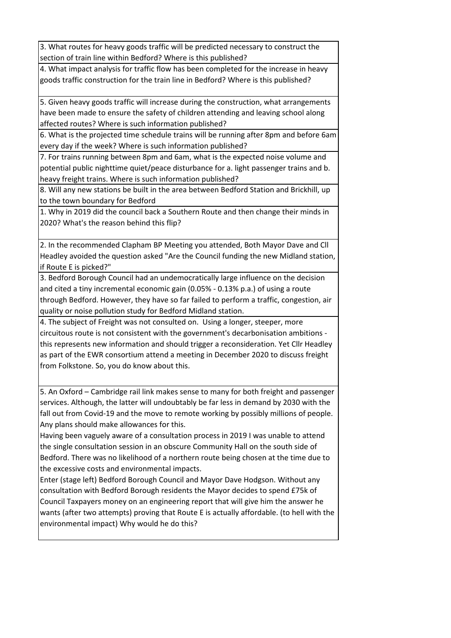3. What routes for heavy goods traffic will be predicted necessary to construct the section of train line within Bedford? Where is this published?

4. What impact analysis for traffic flow has been completed for the increase in heavy goods traffic construction for the train line in Bedford? Where is this published?

5. Given heavy goods traffic will increase during the construction, what arrangements have been made to ensure the safety of children attending and leaving school along affected routes? Where is such information published?

6. What is the projected time schedule trains will be running after 8pm and before 6am every day if the week? Where is such information published?

7. For trains running between 8pm and 6am, what is the expected noise volume and potential public nighttime quiet/peace disturbance for a. light passenger trains and b. heavy freight trains. Where is such information published?

8. Will any new stations be built in the area between Bedford Station and Brickhill, up to the town boundary for Bedford

1. Why in 2019 did the council back a Southern Route and then change their minds in 2020? What's the reason behind this flip?

2. In the recommended Clapham BP Meeting you attended, Both Mayor Dave and Cll Headley avoided the question asked "Are the Council funding the new Midland station, if Route E is picked?"

3. Bedford Borough Council had an undemocratically large influence on the decision and cited a tiny incremental economic gain (0.05% - 0.13% p.a.) of using a route through Bedford. However, they have so far failed to perform a traffic, congestion, air quality or noise pollution study for Bedford Midland station.

4. The subject of Freight was not consulted on. Using a longer, steeper, more circuitous route is not consistent with the government's decarbonisation ambitions this represents new information and should trigger a reconsideration. Yet Cllr Headley as part of the EWR consortium attend a meeting in December 2020 to discuss freight from Folkstone. So, you do know about this.

5. An Oxford – Cambridge rail link makes sense to many for both freight and passenger services. Although, the latter will undoubtably be far less in demand by 2030 with the fall out from Covid-19 and the move to remote working by possibly millions of people. Any plans should make allowances for this.

Having been vaguely aware of a consultation process in 2019 I was unable to attend the single consultation session in an obscure Community Hall on the south side of Bedford. There was no likelihood of a northern route being chosen at the time due to the excessive costs and environmental impacts.

Enter (stage left) Bedford Borough Council and Mayor Dave Hodgson. Without any consultation with Bedford Borough residents the Mayor decides to spend £75k of Council Taxpayers money on an engineering report that will give him the answer he wants (after two attempts) proving that Route E is actually affordable. (to hell with the environmental impact) Why would he do this?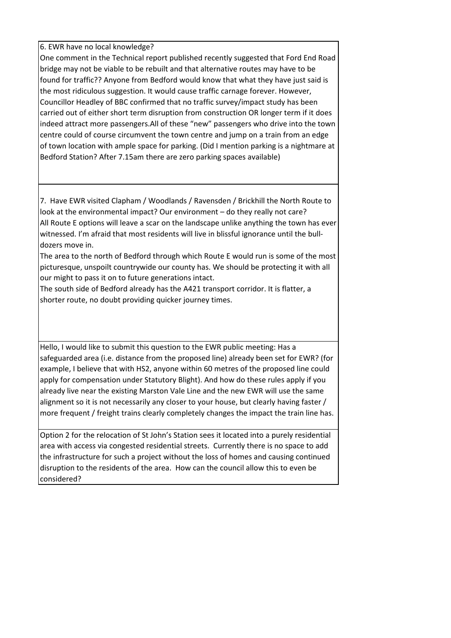6. EWR have no local knowledge?

One comment in the Technical report published recently suggested that Ford End Road bridge may not be viable to be rebuilt and that alternative routes may have to be found for traffic?? Anyone from Bedford would know that what they have just said is the most ridiculous suggestion. It would cause traffic carnage forever. However, Councillor Headley of BBC confirmed that no traffic survey/impact study has been carried out of either short term disruption from construction OR longer term if it does indeed attract more passengers.All of these "new" passengers who drive into the town centre could of course circumvent the town centre and jump on a train from an edge of town location with ample space for parking. (Did I mention parking is a nightmare at Bedford Station? After 7.15am there are zero parking spaces available)

7. Have EWR visited Clapham / Woodlands / Ravensden / Brickhill the North Route to look at the environmental impact? Our environment – do they really not care? All Route E options will leave a scar on the landscape unlike anything the town has ever witnessed. I'm afraid that most residents will live in blissful ignorance until the bulldozers move in.

The area to the north of Bedford through which Route E would run is some of the most picturesque, unspoilt countrywide our county has. We should be protecting it with all our might to pass it on to future generations intact.

The south side of Bedford already has the A421 transport corridor. It is flatter, a shorter route, no doubt providing quicker journey times.

Hello, I would like to submit this question to the EWR public meeting: Has a safeguarded area (i.e. distance from the proposed line) already been set for EWR? (for example, I believe that with HS2, anyone within 60 metres of the proposed line could apply for compensation under Statutory Blight). And how do these rules apply if you already live near the existing Marston Vale Line and the new EWR will use the same alignment so it is not necessarily any closer to your house, but clearly having faster / more frequent / freight trains clearly completely changes the impact the train line has.

Option 2 for the relocation of St John's Station sees it located into a purely residential area with access via congested residential streets. Currently there is no space to add the infrastructure for such a project without the loss of homes and causing continued disruption to the residents of the area. How can the council allow this to even be considered?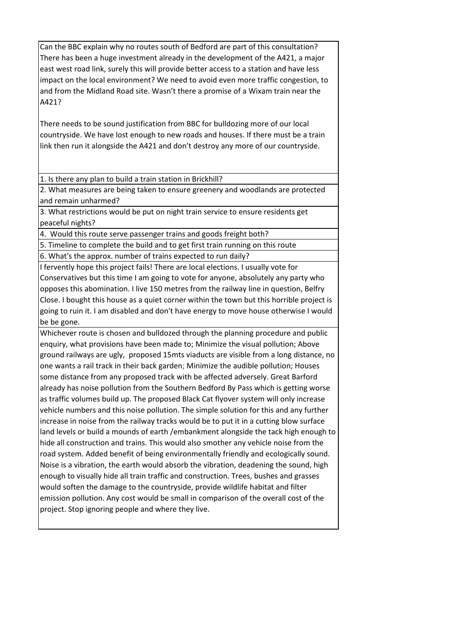Can the BBC explain why no routes south of Bedford are part of this consultation? There has been a huge investment already in the development of the A421, a major east west road link, surely this will provide better access to a station and have less impact on the local environment? We need to avoid even more traffic congestion, to and from the Midland Road site. Wasn't there a promise of a Wixam train near the A421?

There needs to be sound justification from BBC for bulldozing more of our local countryside. We have lost enough to new roads and houses. If there must be a train link then run it alongside the A421 and don't destroy any more of our countryside.

1. Is there any plan to build a train station in Brickhill?

2. What measures are being taken to ensure greenery and woodlands are protected and remain unharmed?

3. What restrictions would be put on night train service to ensure residents get peaceful nights?

4. Would this route serve passenger trains and goods freight both?

5. Timeline to complete the build and to get first train running on this route

6. What's the approx. number of trains expected to run daily?

I fervently hope this project fails! There are local elections. I usually vote for Conservatives but this time I am going to vote for anyone, absolutely any party who opposes this abomination. I live 150 metres from the railway line in question, Belfry Close. I bought this house as a quiet corner within the town but this horrible project is going to ruin it. I am disabled and don't have energy to move house otherwise I would be be gone.

Whichever route is chosen and bulldozed through the planning procedure and public enquiry, what provisions have been made to; Minimize the visual pollution; Above ground railways are ugly, proposed 15mts viaducts are visible from a long distance, no one wants a rail track in their back garden; Minimize the audible pollution; Houses some distance from any proposed track with be affected adversely. Great Barford already has noise pollution from the Southern Bedford By Pass which is getting worse as traffic volumes build up. The proposed Black Cat flyover system will only increase vehicle numbers and this noise pollution. The simple solution for this and any further increase in noise from the railway tracks would be to put it in a cutting blow surface land levels or build a mounds of earth /embankment alongside the tack high enough to hide all construction and trains. This would also smother any vehicle noise from the road system. Added benefit of being environmentally friendly and ecologically sound. Noise is a vibration, the earth would absorb the vibration, deadening the sound, high enough to visually hide all train traffic and construction. Trees, bushes and grasses would soften the damage to the countryside, provide wildlife habitat and filter emission pollution. Any cost would be small in comparison of the overall cost of the project. Stop ignoring people and where they live.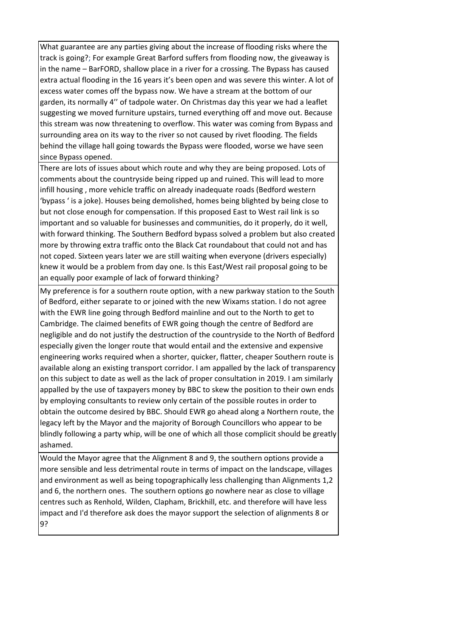What guarantee are any parties giving about the increase of flooding risks where the track is going?; For example Great Barford suffers from flooding now, the giveaway is in the name – BarFORD, shallow place in a river for a crossing. The Bypass has caused extra actual flooding in the 16 years it's been open and was severe this winter. A lot of excess water comes off the bypass now. We have a stream at the bottom of our garden, its normally 4'' of tadpole water. On Christmas day this year we had a leaflet suggesting we moved furniture upstairs, turned everything off and move out. Because this stream was now threatening to overflow. This water was coming from Bypass and surrounding area on its way to the river so not caused by rivet flooding. The fields behind the village hall going towards the Bypass were flooded, worse we have seen since Bypass opened.

There are lots of issues about which route and why they are being proposed. Lots of comments about the countryside being ripped up and ruined. This will lead to more infill housing , more vehicle traffic on already inadequate roads (Bedford western 'bypass ' is a joke). Houses being demolished, homes being blighted by being close to but not close enough for compensation. If this proposed East to West rail link is so important and so valuable for businesses and communities, do it properly, do it well, with forward thinking. The Southern Bedford bypass solved a problem but also created more by throwing extra traffic onto the Black Cat roundabout that could not and has not coped. Sixteen years later we are still waiting when everyone (drivers especially) knew it would be a problem from day one. Is this East/West rail proposal going to be an equally poor example of lack of forward thinking?

My preference is for a southern route option, with a new parkway station to the South of Bedford, either separate to or joined with the new Wixams station. I do not agree with the EWR line going through Bedford mainline and out to the North to get to Cambridge. The claimed benefits of EWR going though the centre of Bedford are negligible and do not justify the destruction of the countryside to the North of Bedford especially given the longer route that would entail and the extensive and expensive engineering works required when a shorter, quicker, flatter, cheaper Southern route is available along an existing transport corridor. I am appalled by the lack of transparency on this subject to date as well as the lack of proper consultation in 2019. I am similarly appalled by the use of taxpayers money by BBC to skew the position to their own ends by employing consultants to review only certain of the possible routes in order to obtain the outcome desired by BBC. Should EWR go ahead along a Northern route, the legacy left by the Mayor and the majority of Borough Councillors who appear to be blindly following a party whip, will be one of which all those complicit should be greatly ashamed.

Would the Mayor agree that the Alignment 8 and 9, the southern options provide a more sensible and less detrimental route in terms of impact on the landscape, villages and environment as well as being topographically less challenging than Alignments 1,2 and 6, the northern ones. The southern options go nowhere near as close to village centres such as Renhold, Wilden, Clapham, Brickhill, etc. and therefore will have less impact and I'd therefore ask does the mayor support the selection of alignments 8 or 9?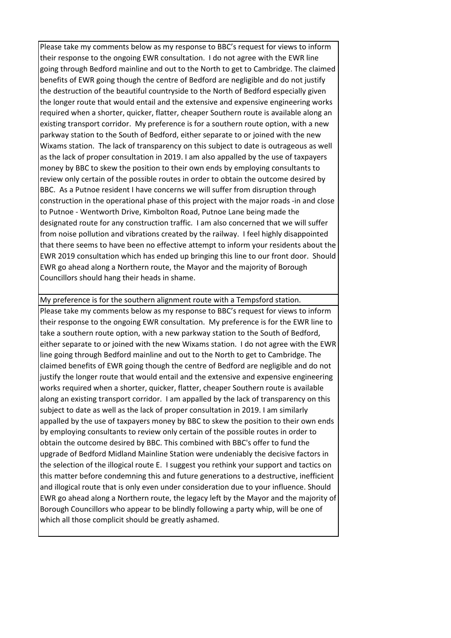Please take my comments below as my response to BBC's request for views to inform their response to the ongoing EWR consultation. I do not agree with the EWR line going through Bedford mainline and out to the North to get to Cambridge. The claimed benefits of EWR going though the centre of Bedford are negligible and do not justify the destruction of the beautiful countryside to the North of Bedford especially given the longer route that would entail and the extensive and expensive engineering works required when a shorter, quicker, flatter, cheaper Southern route is available along an existing transport corridor. My preference is for a southern route option, with a new parkway station to the South of Bedford, either separate to or joined with the new Wixams station. The lack of transparency on this subject to date is outrageous as well as the lack of proper consultation in 2019. I am also appalled by the use of taxpayers money by BBC to skew the position to their own ends by employing consultants to review only certain of the possible routes in order to obtain the outcome desired by BBC. As a Putnoe resident I have concerns we will suffer from disruption through construction in the operational phase of this project with the major roads -in and close to Putnoe - Wentworth Drive, Kimbolton Road, Putnoe Lane being made the designated route for any construction traffic. I am also concerned that we will suffer from noise pollution and vibrations created by the railway. I feel highly disappointed that there seems to have been no effective attempt to inform your residents about the EWR 2019 consultation which has ended up bringing this line to our front door. Should EWR go ahead along a Northern route, the Mayor and the majority of Borough Councillors should hang their heads in shame.

My preference is for the southern alignment route with a Tempsford station. [Please take my comments below as my response to BBC's request for views to inform](tel:+442019)  [their response to the ongoing EWR consultation. My preference is for the EWR line to](tel:+442019)  [take a southern route option, with a new parkway station to the South of Bedford,](tel:+442019)  [either separate to or joined with the new Wixams station. I do not agree with the EWR](tel:+442019)  [line going through Bedford mainline and out to the North to get to Cambridge. The](tel:+442019)  [claimed benefits of EWR going though the centre of Bedford are negligible and do not](tel:+442019)  [justify the longer route that would entail and the extensive and expensive engineering](tel:+442019)  [works required when a shorter, quicker, flatter, cheaper Southern route is available](tel:+442019)  [along an existing transport corridor. I am appalled by the lack of transparency on this](tel:+442019)  [subject to date as well as the lack of proper consultation in](tel:+442019) 2019. I am similarly [appalled by the use of taxpayers money by BBC to skew the position to their own ends](tel:+442019)  [by employing consultants to review only certain of the possible routes in order to](tel:+442019)  [obtain the outcome desired by BBC. This combined with BBC's offer to fund the](tel:+442019)  [upgrade of Bedford Midland Mainline Station were undeniably the decisive factors in](tel:+442019)  [the selection of the illogical route E. I suggest you rethink your support and tactics on](tel:+442019)  [this matter before condemning this and future generations to a destructive, inefficient](tel:+442019)  [and illogical route that is only even under consideration due to your influence.](tel:+442019) Should [EWR go ahead along a Northern route, the legacy left by the Mayor and the majority of](tel:+442019)  [Borough Councillors who appear to be blindly following a party whip, will be one of](tel:+442019)  [which all those complicit should be greatly ashamed.](tel:+442019)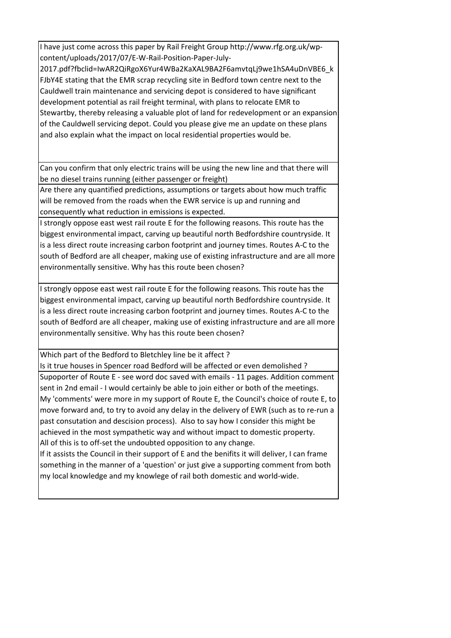[I have just come across this paper by Rail Freight Group http://www.rfg.org.uk/wp](https://linkprotect.cudasvc.com/url?a=http%3a%2f%2fwww.rfg.org.uk%2fwp-content%2fuploads%2f2017%2f07%2fE-W-Rail-Position-Paper-July-2017.pdf%3ffbclid%3dIwAR2QiRgoX6Yur4WBa2KaXAL9BA2F6amvtqLj9we1hSA4uDnVBE6_kFJbY4E&c=E,1,xUd3K2OXs_8yLDIxY25BaV482KJ4GmHyrixeXgt2KM3Vhhb3UFnxKWPPt0NOJF7fCdM2AbBVx7-FKVyjHpnj8dtaqVTfPyB0ay38zqINvSrSjjqZAyNR0A2wVQ,,&typo=1)[content/uploads/2017/07/E-W-Rail-Position-Paper-July-](https://linkprotect.cudasvc.com/url?a=http%3a%2f%2fwww.rfg.org.uk%2fwp-content%2fuploads%2f2017%2f07%2fE-W-Rail-Position-Paper-July-2017.pdf%3ffbclid%3dIwAR2QiRgoX6Yur4WBa2KaXAL9BA2F6amvtqLj9we1hSA4uDnVBE6_kFJbY4E&c=E,1,xUd3K2OXs_8yLDIxY25BaV482KJ4GmHyrixeXgt2KM3Vhhb3UFnxKWPPt0NOJF7fCdM2AbBVx7-FKVyjHpnj8dtaqVTfPyB0ay38zqINvSrSjjqZAyNR0A2wVQ,,&typo=1)

[2017.pdf?fbclid=IwAR2QiRgoX6Yur4WBa2KaXAL9BA2F6amvtqLj9we1hSA4uDnVBE6\\_k](https://linkprotect.cudasvc.com/url?a=http%3a%2f%2fwww.rfg.org.uk%2fwp-content%2fuploads%2f2017%2f07%2fE-W-Rail-Position-Paper-July-2017.pdf%3ffbclid%3dIwAR2QiRgoX6Yur4WBa2KaXAL9BA2F6amvtqLj9we1hSA4uDnVBE6_kFJbY4E&c=E,1,xUd3K2OXs_8yLDIxY25BaV482KJ4GmHyrixeXgt2KM3Vhhb3UFnxKWPPt0NOJF7fCdM2AbBVx7-FKVyjHpnj8dtaqVTfPyB0ay38zqINvSrSjjqZAyNR0A2wVQ,,&typo=1) [FJbY4E stating that the EMR scrap recycling site in Bedford town centre next to the](https://linkprotect.cudasvc.com/url?a=http%3a%2f%2fwww.rfg.org.uk%2fwp-content%2fuploads%2f2017%2f07%2fE-W-Rail-Position-Paper-July-2017.pdf%3ffbclid%3dIwAR2QiRgoX6Yur4WBa2KaXAL9BA2F6amvtqLj9we1hSA4uDnVBE6_kFJbY4E&c=E,1,xUd3K2OXs_8yLDIxY25BaV482KJ4GmHyrixeXgt2KM3Vhhb3UFnxKWPPt0NOJF7fCdM2AbBVx7-FKVyjHpnj8dtaqVTfPyB0ay38zqINvSrSjjqZAyNR0A2wVQ,,&typo=1)  [Cauldwell train maintenance and servicing depot is considered to have significant](https://linkprotect.cudasvc.com/url?a=http%3a%2f%2fwww.rfg.org.uk%2fwp-content%2fuploads%2f2017%2f07%2fE-W-Rail-Position-Paper-July-2017.pdf%3ffbclid%3dIwAR2QiRgoX6Yur4WBa2KaXAL9BA2F6amvtqLj9we1hSA4uDnVBE6_kFJbY4E&c=E,1,xUd3K2OXs_8yLDIxY25BaV482KJ4GmHyrixeXgt2KM3Vhhb3UFnxKWPPt0NOJF7fCdM2AbBVx7-FKVyjHpnj8dtaqVTfPyB0ay38zqINvSrSjjqZAyNR0A2wVQ,,&typo=1)  [development potential as rail freight terminal, with plans to relocate EMR to](https://linkprotect.cudasvc.com/url?a=http%3a%2f%2fwww.rfg.org.uk%2fwp-content%2fuploads%2f2017%2f07%2fE-W-Rail-Position-Paper-July-2017.pdf%3ffbclid%3dIwAR2QiRgoX6Yur4WBa2KaXAL9BA2F6amvtqLj9we1hSA4uDnVBE6_kFJbY4E&c=E,1,xUd3K2OXs_8yLDIxY25BaV482KJ4GmHyrixeXgt2KM3Vhhb3UFnxKWPPt0NOJF7fCdM2AbBVx7-FKVyjHpnj8dtaqVTfPyB0ay38zqINvSrSjjqZAyNR0A2wVQ,,&typo=1)  [Stewartby, thereby releasing a valuable plot of land for redevelopment or an expansion](https://linkprotect.cudasvc.com/url?a=http%3a%2f%2fwww.rfg.org.uk%2fwp-content%2fuploads%2f2017%2f07%2fE-W-Rail-Position-Paper-July-2017.pdf%3ffbclid%3dIwAR2QiRgoX6Yur4WBa2KaXAL9BA2F6amvtqLj9we1hSA4uDnVBE6_kFJbY4E&c=E,1,xUd3K2OXs_8yLDIxY25BaV482KJ4GmHyrixeXgt2KM3Vhhb3UFnxKWPPt0NOJF7fCdM2AbBVx7-FKVyjHpnj8dtaqVTfPyB0ay38zqINvSrSjjqZAyNR0A2wVQ,,&typo=1)  [of the Cauldwell servicing depot. Could you please give me an update on these plans](https://linkprotect.cudasvc.com/url?a=http%3a%2f%2fwww.rfg.org.uk%2fwp-content%2fuploads%2f2017%2f07%2fE-W-Rail-Position-Paper-July-2017.pdf%3ffbclid%3dIwAR2QiRgoX6Yur4WBa2KaXAL9BA2F6amvtqLj9we1hSA4uDnVBE6_kFJbY4E&c=E,1,xUd3K2OXs_8yLDIxY25BaV482KJ4GmHyrixeXgt2KM3Vhhb3UFnxKWPPt0NOJF7fCdM2AbBVx7-FKVyjHpnj8dtaqVTfPyB0ay38zqINvSrSjjqZAyNR0A2wVQ,,&typo=1)  [and also explain what the impact on local residential properties would be.](https://linkprotect.cudasvc.com/url?a=http%3a%2f%2fwww.rfg.org.uk%2fwp-content%2fuploads%2f2017%2f07%2fE-W-Rail-Position-Paper-July-2017.pdf%3ffbclid%3dIwAR2QiRgoX6Yur4WBa2KaXAL9BA2F6amvtqLj9we1hSA4uDnVBE6_kFJbY4E&c=E,1,xUd3K2OXs_8yLDIxY25BaV482KJ4GmHyrixeXgt2KM3Vhhb3UFnxKWPPt0NOJF7fCdM2AbBVx7-FKVyjHpnj8dtaqVTfPyB0ay38zqINvSrSjjqZAyNR0A2wVQ,,&typo=1) 

Can you confirm that only electric trains will be using the new line and that there will be no diesel trains running (either passenger or freight)

Are there any quantified predictions, assumptions or targets about how much traffic will be removed from the roads when the EWR service is up and running and consequently what reduction in emissions is expected.

I strongly oppose east west rail route E for the following reasons. This route has the biggest environmental impact, carving up beautiful north Bedfordshire countryside. It is a less direct route increasing carbon footprint and journey times. Routes A-C to the south of Bedford are all cheaper, making use of existing infrastructure and are all more environmentally sensitive. Why has this route been chosen?

I strongly oppose east west rail route E for the following reasons. This route has the biggest environmental impact, carving up beautiful north Bedfordshire countryside. It is a less direct route increasing carbon footprint and journey times. Routes A-C to the south of Bedford are all cheaper, making use of existing infrastructure and are all more environmentally sensitive. Why has this route been chosen?

Which part of the Bedford to Bletchley line be it affect ?

Is it true houses in Spencer road Bedford will be affected or even demolished ?

Supoporter of Route E - see word doc saved with emails - 11 pages. Addition comment sent in 2nd email - I would certainly be able to join either or both of the meetings. My 'comments' were more in my support of Route E, the Council's choice of route E, to move forward and, to try to avoid any delay in the delivery of EWR (such as to re-run a past consutation and descision process). Also to say how I consider this might be achieved in the most sympathetic way and without impact to domestic property. All of this is to off-set the undoubted opposition to any change.

If it assists the Council in their support of E and the benifits it will deliver, I can frame something in the manner of a 'question' or just give a supporting comment from both my local knowledge and my knowlege of rail both domestic and world-wide.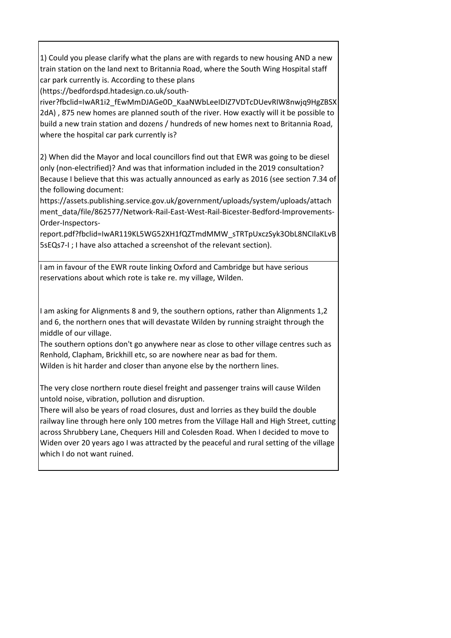1) Could you please clarify what the plans are with regards to new housing AND a new train station on the land next to Britannia Road, where the South Wing Hospital staff car park currently is. According to these plans

(https://bedfordspd.htadesign.co.uk/south-

river?fbclid=IwAR1i2\_fEwMmDJAGe0D\_KaaNWbLeeIDIZ7VDTcDUevRIW8nwjq9HgZBSX 2dA) , 875 new homes are planned south of the river. How exactly will it be possible to build a new train station and dozens / hundreds of new homes next to Britannia Road, where the hospital car park currently is?

2) When did the Mayor and local councillors find out that EWR was going to be diesel only (non-electrified)? And was that information included in the 2019 consultation? Because I believe that this was actually announced as early as 2016 (see section 7.34 of the following document:

https://assets.publishing.service.gov.uk/government/uploads/system/uploads/attach ment\_data/file/862577/Network-Rail-East-West-Rail-Bicester-Bedford-Improvements-Order-Inspectors-

report.pdf?fbclid=IwAR119KL5WG52XH1fQZTmdMMW\_sTRTpUxczSyk3ObL8NCIlaKLvB 5sEQs7-I ; I have also attached a screenshot of the relevant section).

I am in favour of the EWR route linking Oxford and Cambridge but have serious reservations about which rote is take re. my village, Wilden.

I am asking for Alignments 8 and 9, the southern options, rather than Alignments 1,2 and 6, the northern ones that will devastate Wilden by running straight through the middle of our village.

The southern options don't go anywhere near as close to other village centres such as Renhold, Clapham, Brickhill etc, so are nowhere near as bad for them.

Wilden is hit harder and closer than anyone else by the northern lines.

The very close northern route diesel freight and passenger trains will cause Wilden untold noise, vibration, pollution and disruption.

There will also be years of road closures, dust and lorries as they build the double railway line through here only 100 metres from the Village Hall and High Street, cutting across Shrubbery Lane, Chequers Hill and Colesden Road. When I decided to move to Widen over 20 years ago I was attracted by the peaceful and rural setting of the village which I do not want ruined.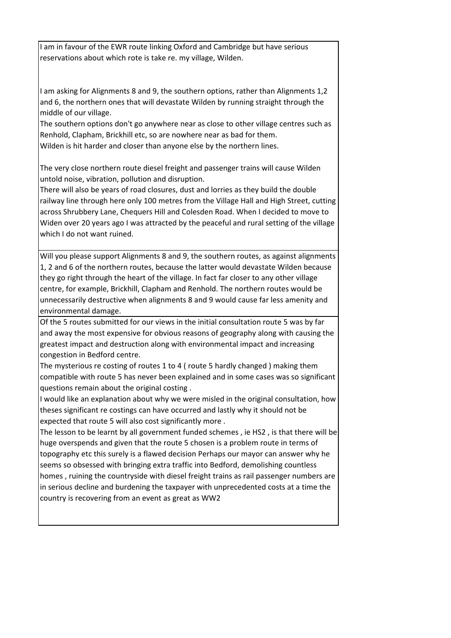I am in favour of the EWR route linking Oxford and Cambridge but have serious reservations about which rote is take re. my village, Wilden.

I am asking for Alignments 8 and 9, the southern options, rather than Alignments 1,2 and 6, the northern ones that will devastate Wilden by running straight through the middle of our village.

The southern options don't go anywhere near as close to other village centres such as Renhold, Clapham, Brickhill etc, so are nowhere near as bad for them. Wilden is hit harder and closer than anyone else by the northern lines.

The very close northern route diesel freight and passenger trains will cause Wilden untold noise, vibration, pollution and disruption.

There will also be years of road closures, dust and lorries as they build the double railway line through here only 100 metres from the Village Hall and High Street, cutting across Shrubbery Lane, Chequers Hill and Colesden Road. When I decided to move to Widen over 20 years ago I was attracted by the peaceful and rural setting of the village which I do not want ruined.

Will you please support Alignments 8 and 9, the southern routes, as against alignments 1, 2 and 6 of the northern routes, because the latter would devastate Wilden because they go right through the heart of the village. In fact far closer to any other village centre, for example, Brickhill, Clapham and Renhold. The northern routes would be unnecessarily destructive when alignments 8 and 9 would cause far less amenity and environmental damage.

Of the 5 routes submitted for our views in the initial consultation route 5 was by far and away the most expensive for obvious reasons of geography along with causing the greatest impact and destruction along with environmental impact and increasing congestion in Bedford centre.

The mysterious re costing of routes 1 to 4 ( route 5 hardly changed ) making them compatible with route 5 has never been explained and in some cases was so significant questions remain about the original costing .

I would like an explanation about why we were misled in the original consultation, how theses significant re costings can have occurred and lastly why it should not be expected that route 5 will also cost significantly more .

The lesson to be learnt by all government funded schemes , ie HS2 , is that there will be huge overspends and given that the route 5 chosen is a problem route in terms of topography etc this surely is a flawed decision Perhaps our mayor can answer why he seems so obsessed with bringing extra traffic into Bedford, demolishing countless homes , ruining the countryside with diesel freight trains as rail passenger numbers are in serious decline and burdening the taxpayer with unprecedented costs at a time the country is recovering from an event as great as WW2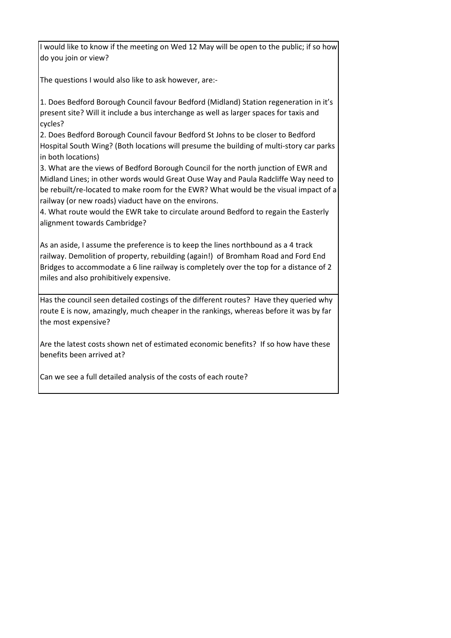I would like to know if the meeting on Wed 12 May will be open to the public; if so how do you join or view?

The questions I would also like to ask however, are:-

1. Does Bedford Borough Council favour Bedford (Midland) Station regeneration in it's present site? Will it include a bus interchange as well as larger spaces for taxis and cycles?

2. Does Bedford Borough Council favour Bedford St Johns to be closer to Bedford Hospital South Wing? (Both locations will presume the building of multi-story car parks in both locations)

3. What are the views of Bedford Borough Council for the north junction of EWR and Midland Lines; in other words would Great Ouse Way and Paula Radcliffe Way need to be rebuilt/re-located to make room for the EWR? What would be the visual impact of a railway (or new roads) viaduct have on the environs.

4. What route would the EWR take to circulate around Bedford to regain the Easterly alignment towards Cambridge?

As an aside, I assume the preference is to keep the lines northbound as a 4 track railway. Demolition of property, rebuilding (again!) of Bromham Road and Ford End Bridges to accommodate a 6 line railway is completely over the top for a distance of 2 miles and also prohibitively expensive.

Has the council seen detailed costings of the different routes? Have they queried why route E is now, amazingly, much cheaper in the rankings, whereas before it was by far the most expensive?

Are the latest costs shown net of estimated economic benefits? If so how have these benefits been arrived at?

Can we see a full detailed analysis of the costs of each route?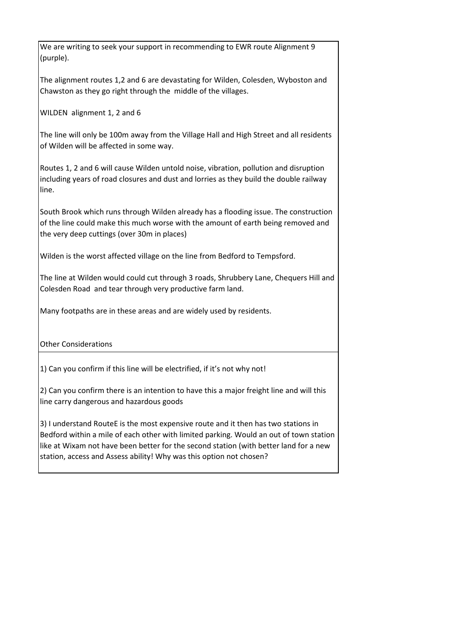We are writing to seek your support in recommending to EWR route Alignment 9 (purple).

The alignment routes 1,2 and 6 are devastating for Wilden, Colesden, Wyboston and Chawston as they go right through the middle of the villages.

WILDEN alignment 1, 2 and 6

The line will only be 100m away from the Village Hall and High Street and all residents of Wilden will be affected in some way.

Routes 1, 2 and 6 will cause Wilden untold noise, vibration, pollution and disruption including years of road closures and dust and lorries as they build the double railway line.

South Brook which runs through Wilden already has a flooding issue. The construction of the line could make this much worse with the amount of earth being removed and the very deep cuttings (over 30m in places)

Wilden is the worst affected village on the line from Bedford to Tempsford.

The line at Wilden would could cut through 3 roads, Shrubbery Lane, Chequers Hill and Colesden Road and tear through very productive farm land.

Many footpaths are in these areas and are widely used by residents.

Other Considerations

1) Can you confirm if this line will be electrified, if it's not why not!

2) Can you confirm there is an intention to have this a major freight line and will this line carry dangerous and hazardous goods

3) I understand RouteE is the most expensive route and it then has two stations in Bedford within a mile of each other with limited parking. Would an out of town station like at Wixam not have been better for the second station (with better land for a new station, access and Assess ability! Why was this option not chosen?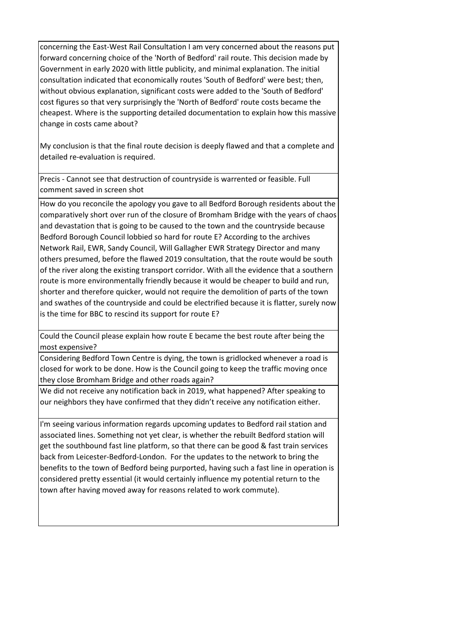concerning the East-West Rail Consultation I am very concerned about the reasons put forward concerning choice of the 'North of Bedford' rail route. This decision made by Government in early 2020 with little publicity, and minimal explanation. The initial consultation indicated that economically routes 'South of Bedford' were best; then, without obvious explanation, significant costs were added to the 'South of Bedford' cost figures so that very surprisingly the 'North of Bedford' route costs became the cheapest. Where is the supporting detailed documentation to explain how this massive change in costs came about?

My conclusion is that the final route decision is deeply flawed and that a complete and detailed re-evaluation is required.

Precis - Cannot see that destruction of countryside is warrented or feasible. Full comment saved in screen shot

How do you reconcile the apology you gave to all Bedford Borough residents about the comparatively short over run of the closure of Bromham Bridge with the years of chaos and devastation that is going to be caused to the town and the countryside because Bedford Borough Council lobbied so hard for route E? According to the archives Network Rail, EWR, Sandy Council, Will Gallagher EWR Strategy Director and many others presumed, before the flawed 2019 consultation, that the route would be south of the river along the existing transport corridor. With all the evidence that a southern route is more environmentally friendly because it would be cheaper to build and run, shorter and therefore quicker, would not require the demolition of parts of the town and swathes of the countryside and could be electrified because it is flatter, surely now is the time for BBC to rescind its support for route E?

Could the Council please explain how route E became the best route after being the most expensive?

Considering Bedford Town Centre is dying, the town is gridlocked whenever a road is closed for work to be done. How is the Council going to keep the traffic moving once they close Bromham Bridge and other roads again?

We did not receive any notification back in 2019, what happened? After speaking to our neighbors they have confirmed that they didn't receive any notification either.

I'm seeing various information regards upcoming updates to Bedford rail station and associated lines. Something not yet clear, is whether the rebuilt Bedford station will get the southbound fast line platform, so that there can be good & fast train services back from Leicester-Bedford-London. For the updates to the network to bring the benefits to the town of Bedford being purported, having such a fast line in operation is considered pretty essential (it would certainly influence my potential return to the town after having moved away for reasons related to work commute).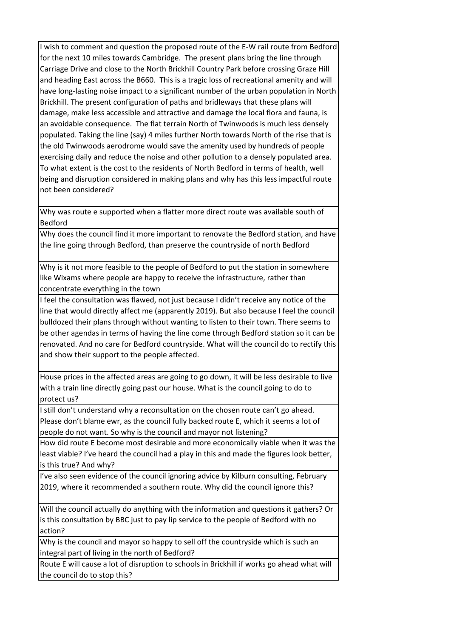I wish to comment and question the proposed route of the E-W rail route from Bedford for the next 10 miles towards Cambridge. The present plans bring the line through Carriage Drive and close to the North Brickhill Country Park before crossing Graze Hill and heading East across the B660. This is a tragic loss of recreational amenity and will have long-lasting noise impact to a significant number of the urban population in North Brickhill. The present configuration of paths and bridleways that these plans will damage, make less accessible and attractive and damage the local flora and fauna, is an avoidable consequence. The flat terrain North of Twinwoods is much less densely populated. Taking the line (say) 4 miles further North towards North of the rise that is the old Twinwoods aerodrome would save the amenity used by hundreds of people exercising daily and reduce the noise and other pollution to a densely populated area. To what extent is the cost to the residents of North Bedford in terms of health, well being and disruption considered in making plans and why has this less impactful route not been considered?

Why was route e supported when a flatter more direct route was available south of Bedford

Why does the council find it more important to renovate the Bedford station, and have the line going through Bedford, than preserve the countryside of north Bedford

Why is it not more feasible to the people of Bedford to put the station in somewhere like Wixams where people are happy to receive the infrastructure, rather than concentrate everything in the town

I feel the consultation was flawed, not just because I didn't receive any notice of the line that would directly affect me (apparently 2019). But also because I feel the council bulldozed their plans through without wanting to listen to their town. There seems to be other agendas in terms of having the line come through Bedford station so it can be renovated. And no care for Bedford countryside. What will the council do to rectify this and show their support to the people affected.

House prices in the affected areas are going to go down, it will be less desirable to live with a train line directly going past our house. What is the council going to do to protect us?

I still don't understand why a reconsultation on the chosen route can't go ahead. Please don't blame ewr, as the council fully backed route E, which it seems a lot of people do not want. So why is the council and mayor not listening?

How did route E become most desirable and more economically viable when it was the least viable? I've heard the council had a play in this and made the figures look better, is this true? And why?

I've also seen evidence of the council ignoring advice by Kilburn consulting, February 2019, where it recommended a southern route. Why did the council ignore this?

Will the council actually do anything with the information and questions it gathers? Or is this consultation by BBC just to pay lip service to the people of Bedford with no action?

Why is the council and mayor so happy to sell off the countryside which is such an integral part of living in the north of Bedford?

Route E will cause a lot of disruption to schools in Brickhill if works go ahead what will the council do to stop this?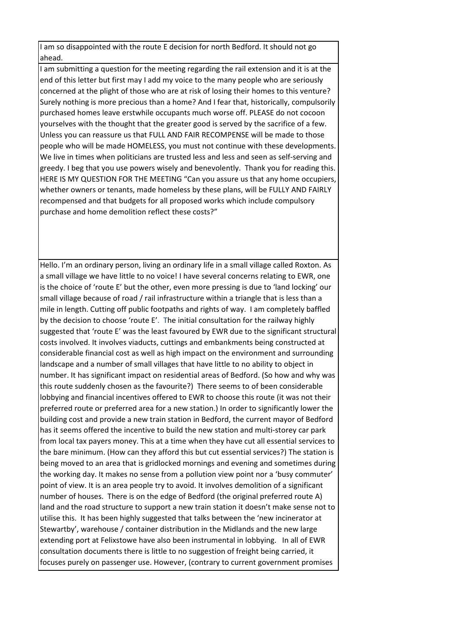I am so disappointed with the route E decision for north Bedford. It should not go ahead.

I am submitting a question for the meeting regarding the rail extension and it is at the end of this letter but first may I add my voice to the many people who are seriously concerned at the plight of those who are at risk of losing their homes to this venture? Surely nothing is more precious than a home? And I fear that, historically, compulsorily purchased homes leave erstwhile occupants much worse off. PLEASE do not cocoon yourselves with the thought that the greater good is served by the sacrifice of a few. Unless you can reassure us that FULL AND FAIR RECOMPENSE will be made to those people who will be made HOMELESS, you must not continue with these developments. We live in times when politicians are trusted less and less and seen as self-serving and greedy. I beg that you use powers wisely and benevolently. Thank you for reading this. HERE IS MY QUESTION FOR THE MEETING "Can you assure us that any home occupiers, whether owners or tenants, made homeless by these plans, will be FULLY AND FAIRLY recompensed and that budgets for all proposed works which include compulsory purchase and home demolition reflect these costs?"

Hello. I'm an ordinary person, living an ordinary life in a small village called Roxton. As a small village we have little to no voice! I have several concerns relating to EWR, one is the choice of 'route E' but the other, even more pressing is due to 'land locking' our small village because of road / rail infrastructure within a triangle that is less than a mile in length. Cutting off public footpaths and rights of way. I am completely baffled by the decision to choose 'route E'. The initial consultation for the railway highly suggested that 'route E' was the least favoured by EWR due to the significant structural costs involved. It involves viaducts, cuttings and embankments being constructed at considerable financial cost as well as high impact on the environment and surrounding landscape and a number of small villages that have little to no ability to object in number. It has significant impact on residential areas of Bedford. (So how and why was this route suddenly chosen as the favourite?) There seems to of been considerable lobbying and financial incentives offered to EWR to choose this route (it was not their preferred route or preferred area for a new station.) In order to significantly lower the building cost and provide a new train station in Bedford, the current mayor of Bedford has it seems offered the incentive to build the new station and multi-storey car park from local tax payers money. This at a time when they have cut all essential services to the bare minimum. (How can they afford this but cut essential services?) The station is being moved to an area that is gridlocked mornings and evening and sometimes during the working day. It makes no sense from a pollution view point nor a 'busy commuter' point of view. It is an area people try to avoid. It involves demolition of a significant number of houses. There is on the edge of Bedford (the original preferred route A) land and the road structure to support a new train station it doesn't make sense not to utilise this. It has been highly suggested that talks between the 'new incinerator at Stewartby', warehouse / container distribution in the Midlands and the new large extending port at Felixstowe have also been instrumental in lobbying. In all of EWR consultation documents there is little to no suggestion of freight being carried, it focuses purely on passenger use. However, (contrary to current government promises

i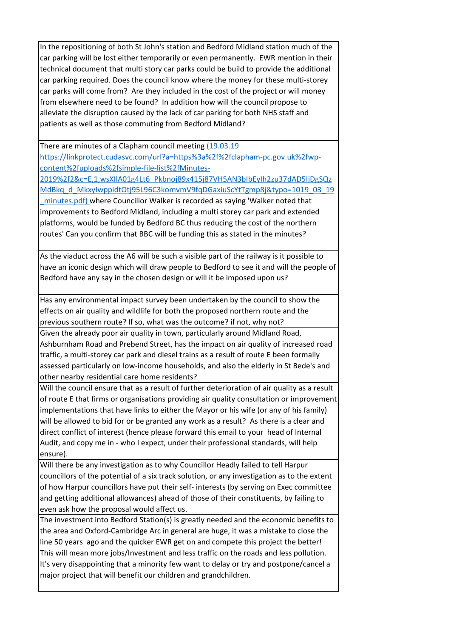In the repositioning of both St John's station and Bedford Midland station much of the car parking will be lost either temporarily or even permanently. EWR mention in their technical document that multi story car parks could be build to provide the additional car parking required. Does the council know where the money for these multi-storey car parks will come from? Are they included in the cost of the project or will money from elsewhere need to be found? In addition how will the council propose to alleviate the disruption caused by the lack of car parking for both NHS staff and patients as well as those commuting from Bedford Midland?

There are minutes of a Clapham council meeting (19.03.19) [https://linkprotect.cudasvc.com/url?a=https%3a%2f%2fclapham-pc.gov.uk%2fwp](https://linkprotect.cudasvc.com/url?a=https%3a%2f%2fclapham-pc.gov.uk%2fwp-content%2fuploads%2fsimple-file-list%2fMinutes-2019%2f2&c=E,1,wsXIlA01g4Lt6_Pkbnoj89x415j87VH5AN3bIbEyIh2zu37dAD5IjDgSQzMdBkq_d_MkxyIwppidtOtj95L96C3komvmV9fqDGaxiuScYtTgmp8j&typo=1019_03_19_minutes.pdf)[content%2fuploads%2fsimple-file-list%2fMinutes-](https://linkprotect.cudasvc.com/url?a=https%3a%2f%2fclapham-pc.gov.uk%2fwp-content%2fuploads%2fsimple-file-list%2fMinutes-2019%2f2&c=E,1,wsXIlA01g4Lt6_Pkbnoj89x415j87VH5AN3bIbEyIh2zu37dAD5IjDgSQzMdBkq_d_MkxyIwppidtOtj95L96C3komvmV9fqDGaxiuScYtTgmp8j&typo=1019_03_19_minutes.pdf)

[2019%2f2&c=E,1,wsXIlA01g4Lt6\\_Pkbnoj89x415j87VH5AN3bIbEyIh2zu37dAD5IjDgSQz](https://linkprotect.cudasvc.com/url?a=https%3a%2f%2fclapham-pc.gov.uk%2fwp-content%2fuploads%2fsimple-file-list%2fMinutes-2019%2f2&c=E,1,wsXIlA01g4Lt6_Pkbnoj89x415j87VH5AN3bIbEyIh2zu37dAD5IjDgSQzMdBkq_d_MkxyIwppidtOtj95L96C3komvmV9fqDGaxiuScYtTgmp8j&typo=1019_03_19_minutes.pdf) [MdBkq\\_d\\_MkxyIwppidtOtj95L96C3komvmV9fqDGaxiuScYtTgmp8j&typo=1019\\_03\\_19](https://linkprotect.cudasvc.com/url?a=https%3a%2f%2fclapham-pc.gov.uk%2fwp-content%2fuploads%2fsimple-file-list%2fMinutes-2019%2f2&c=E,1,wsXIlA01g4Lt6_Pkbnoj89x415j87VH5AN3bIbEyIh2zu37dAD5IjDgSQzMdBkq_d_MkxyIwppidtOtj95L96C3komvmV9fqDGaxiuScYtTgmp8j&typo=1019_03_19_minutes.pdf)

minutes.pdf) where Councillor Walker is recorded as saying 'Walker noted that [improvements to Bedford Midland, including a multi storey car park and extended](https://linkprotect.cudasvc.com/url?a=https%3a%2f%2fclapham-pc.gov.uk%2fwp-content%2fuploads%2fsimple-file-list%2fMinutes-2019%2f2&c=E,1,wsXIlA01g4Lt6_Pkbnoj89x415j87VH5AN3bIbEyIh2zu37dAD5IjDgSQzMdBkq_d_MkxyIwppidtOtj95L96C3komvmV9fqDGaxiuScYtTgmp8j&typo=1019_03_19_minutes.pdf)  [platforms, would be funded by Bedford BC thus reducing the cost of the northern](https://linkprotect.cudasvc.com/url?a=https%3a%2f%2fclapham-pc.gov.uk%2fwp-content%2fuploads%2fsimple-file-list%2fMinutes-2019%2f2&c=E,1,wsXIlA01g4Lt6_Pkbnoj89x415j87VH5AN3bIbEyIh2zu37dAD5IjDgSQzMdBkq_d_MkxyIwppidtOtj95L96C3komvmV9fqDGaxiuScYtTgmp8j&typo=1019_03_19_minutes.pdf)  [routes' Can you confirm that BBC will be funding this as stated in the minutes?](https://linkprotect.cudasvc.com/url?a=https%3a%2f%2fclapham-pc.gov.uk%2fwp-content%2fuploads%2fsimple-file-list%2fMinutes-2019%2f2&c=E,1,wsXIlA01g4Lt6_Pkbnoj89x415j87VH5AN3bIbEyIh2zu37dAD5IjDgSQzMdBkq_d_MkxyIwppidtOtj95L96C3komvmV9fqDGaxiuScYtTgmp8j&typo=1019_03_19_minutes.pdf)

As the viaduct across the A6 will be such a visible part of the railway is it possible to have an iconic design which will draw people to Bedford to see it and will the people of Bedford have any say in the chosen design or will it be imposed upon us?

Has any environmental impact survey been undertaken by the council to show the effects on air quality and wildlife for both the proposed northern route and the previous southern route? If so, what was the outcome? if not, why not?

Given the already poor air quality in town, particularly around Midland Road, Ashburnham Road and Prebend Street, has the impact on air quality of increased road traffic, a multi-storey car park and diesel trains as a result of route E been formally assessed particularly on low-income households, and also the elderly in St Bede's and other nearby residential care home residents?

Will the council ensure that as a result of further deterioration of air quality as a result of route E that firms or organisations providing air quality consultation or improvement implementations that have links to either the Mayor or his wife (or any of his family) will be allowed to bid for or be granted any work as a result? As there is a clear and direct conflict of interest (hence please forward this email to your head of Internal Audit, and copy me in - who I expect, under their professional standards, will help ensure).

Will there be any investigation as to why Councillor Headly failed to tell Harpur councillors of the potential of a six track solution, or any investigation as to the extent of how Harpur councillors have put their self- interests (by serving on Exec committee and getting additional allowances) ahead of those of their constituents, by failing to even ask how the proposal would affect us.

The investment into Bedford Station(s) is greatly needed and the economic benefits to the area and Oxford-Cambridge Arc in general are huge, it was a mistake to close the line 50 years ago and the quicker EWR get on and compete this project the better! This will mean more jobs/Investment and less traffic on the roads and less pollution. It's very disappointing that a minority few want to delay or try and postpone/cancel a major project that will benefit our children and grandchildren.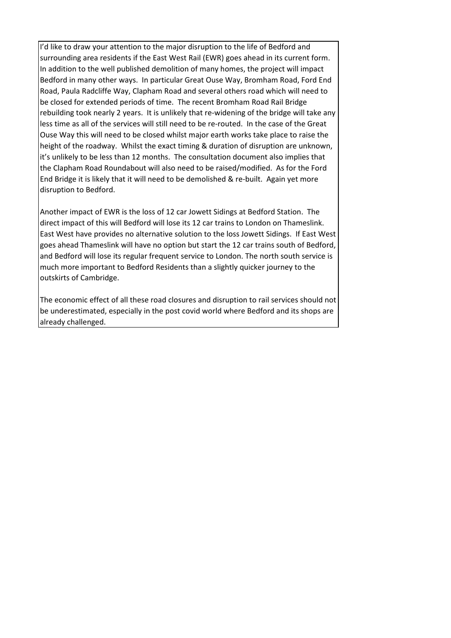I'd like to draw your attention to the major disruption to the life of Bedford and surrounding area residents if the East West Rail (EWR) goes ahead in its current form. In addition to the well published demolition of many homes, the project will impact Bedford in many other ways. In particular Great Ouse Way, Bromham Road, Ford End Road, Paula Radcliffe Way, Clapham Road and several others road which will need to be closed for extended periods of time. The recent Bromham Road Rail Bridge rebuilding took nearly 2 years. It is unlikely that re-widening of the bridge will take any less time as all of the services will still need to be re-routed. In the case of the Great Ouse Way this will need to be closed whilst major earth works take place to raise the height of the roadway. Whilst the exact timing & duration of disruption are unknown, it's unlikely to be less than 12 months. The consultation document also implies that the Clapham Road Roundabout will also need to be raised/modified. As for the Ford End Bridge it is likely that it will need to be demolished & re-built. Again yet more disruption to Bedford.

Another impact of EWR is the loss of 12 car Jowett Sidings at Bedford Station. The direct impact of this will Bedford will lose its 12 car trains to London on Thameslink. East West have provides no alternative solution to the loss Jowett Sidings. If East West goes ahead Thameslink will have no option but start the 12 car trains south of Bedford, and Bedford will lose its regular frequent service to London. The north south service is much more important to Bedford Residents than a slightly quicker journey to the outskirts of Cambridge.

The economic effect of all these road closures and disruption to rail services should not be underestimated, especially in the post covid world where Bedford and its shops are already challenged.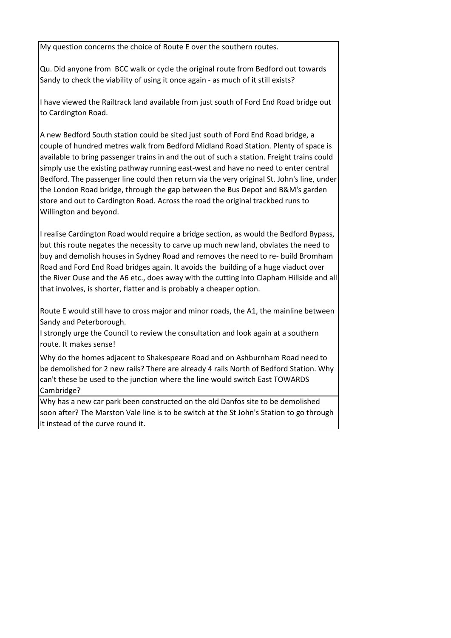My question concerns the choice of Route E over the southern routes.

Qu. Did anyone from BCC walk or cycle the original route from Bedford out towards Sandy to check the viability of using it once again - as much of it still exists?

I have viewed the Railtrack land available from just south of Ford End Road bridge out to Cardington Road.

A new Bedford South station could be sited just south of Ford End Road bridge, a couple of hundred metres walk from Bedford Midland Road Station. Plenty of space is available to bring passenger trains in and the out of such a station. Freight trains could simply use the existing pathway running east-west and have no need to enter central Bedford. The passenger line could then return via the very original St. John's line, under the London Road bridge, through the gap between the Bus Depot and B&M's garden store and out to Cardington Road. Across the road the original trackbed runs to Willington and beyond.

I realise Cardington Road would require a bridge section, as would the Bedford Bypass, but this route negates the necessity to carve up much new land, obviates the need to buy and demolish houses in Sydney Road and removes the need to re- build Bromham Road and Ford End Road bridges again. It avoids the building of a huge viaduct over the River Ouse and the A6 etc., does away with the cutting into Clapham Hillside and all that involves, is shorter, flatter and is probably a cheaper option.

Route E would still have to cross major and minor roads, the A1, the mainline between Sandy and Peterborough.

I strongly urge the Council to review the consultation and look again at a southern route. It makes sense!

Why do the homes adjacent to Shakespeare Road and on Ashburnham Road need to be demolished for 2 new rails? There are already 4 rails North of Bedford Station. Why can't these be used to the junction where the line would switch East TOWARDS Cambridge?

Why has a new car park been constructed on the old Danfos site to be demolished soon after? The Marston Vale line is to be switch at the St John's Station to go through it instead of the curve round it.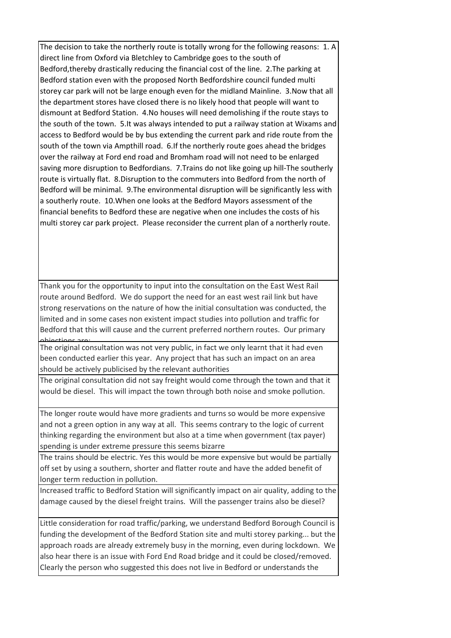The decision to take the northerly route is totally wrong for the following reasons: 1. A direct line from Oxford via Bletchley to Cambridge goes to the south of Bedford,thereby drastically reducing the financial cost of the line. 2.The parking at Bedford station even with the proposed North Bedfordshire council funded multi storey car park will not be large enough even for the midland Mainline. 3.Now that all the department stores have closed there is no likely hood that people will want to dismount at Bedford Station. 4.No houses will need demolishing if the route stays to the south of the town. 5.It was always intended to put a railway station at Wixams and access to Bedford would be by bus extending the current park and ride route from the south of the town via Ampthill road. 6.If the northerly route goes ahead the bridges over the railway at Ford end road and Bromham road will not need to be enlarged saving more disruption to Bedfordians. 7.Trains do not like going up hill-The southerly route is virtually flat. 8.Disruption to the commuters into Bedford from the north of Bedford will be minimal. 9.The environmental disruption will be significantly less with a southerly route. 10.When one looks at the Bedford Mayors assessment of the financial benefits to Bedford these are negative when one includes the costs of his multi storey car park project. Please reconsider the current plan of a northerly route.

Thank you for the opportunity to input into the consultation on the East West Rail route around Bedford. We do support the need for an east west rail link but have strong reservations on the nature of how the initial consultation was conducted, the limited and in some cases non existent impact studies into pollution and traffic for Bedford that this will cause and the current preferred northern routes. Our primary

objections are:<br>— The original consultation was not very public, in fact we only learnt that it had even been conducted earlier this year. Any project that has such an impact on an area should be actively publicised by the relevant authorities

The original consultation did not say freight would come through the town and that it would be diesel. This will impact the town through both noise and smoke pollution.

The longer route would have more gradients and turns so would be more expensive and not a green option in any way at all. This seems contrary to the logic of current thinking regarding the environment but also at a time when government (tax payer) spending is under extreme pressure this seems bizarre

The trains should be electric. Yes this would be more expensive but would be partially off set by using a southern, shorter and flatter route and have the added benefit of longer term reduction in pollution.

Increased traffic to Bedford Station will significantly impact on air quality, adding to the damage caused by the diesel freight trains. Will the passenger trains also be diesel?

Little consideration for road traffic/parking, we understand Bedford Borough Council is funding the development of the Bedford Station site and multi storey parking... but the approach roads are already extremely busy in the morning, even during lockdown. We also hear there is an issue with Ford End Road bridge and it could be closed/removed. Clearly the person who suggested this does not live in Bedford or understands the

I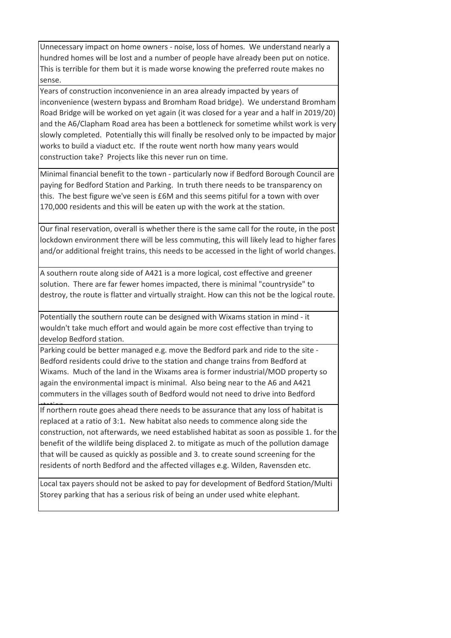Unnecessary impact on home owners - noise, loss of homes. We understand nearly a hundred homes will be lost and a number of people have already been put on notice. This is terrible for them but it is made worse knowing the preferred route makes no sense.

Years of construction inconvenience in an area already impacted by years of inconvenience (western bypass and Bromham Road bridge). We understand Bromham Road Bridge will be worked on yet again (it was closed for a year and a half in 2019/20) and the A6/Clapham Road area has been a bottleneck for sometime whilst work is very slowly completed. Potentially this will finally be resolved only to be impacted by major works to build a viaduct etc. If the route went north how many years would construction take? Projects like this never run on time.

Minimal financial benefit to the town - particularly now if Bedford Borough Council are paying for Bedford Station and Parking. In truth there needs to be transparency on this. The best figure we've seen is £6M and this seems pitiful for a town with over 170,000 residents and this will be eaten up with the work at the station.

Our final reservation, overall is whether there is the same call for the route, in the post lockdown environment there will be less commuting, this will likely lead to higher fares and/or additional freight trains, this needs to be accessed in the light of world changes.

A southern route along side of A421 is a more logical, cost effective and greener solution. There are far fewer homes impacted, there is minimal "countryside" to destroy, the route is flatter and virtually straight. How can this not be the logical route.

Potentially the southern route can be designed with Wixams station in mind - it wouldn't take much effort and would again be more cost effective than trying to develop Bedford station.

Parking could be better managed e.g. move the Bedford park and ride to the site - Bedford residents could drive to the station and change trains from Bedford at Wixams. Much of the land in the Wixams area is former industrial/MOD property so again the environmental impact is minimal. Also being near to the A6 and A421 commuters in the villages south of Bedford would not need to drive into Bedford

If northern route goes ahead there needs to be assurance that any loss of habitat is replaced at a ratio of 3:1. New habitat also needs to commence along side the construction, not afterwards, we need established habitat as soon as possible 1. for the benefit of the wildlife being displaced 2. to mitigate as much of the pollution damage that will be caused as quickly as possible and 3. to create sound screening for the residents of north Bedford and the affected villages e.g. Wilden, Ravensden etc.

Local tax payers should not be asked to pay for development of Bedford Station/Multi Storey parking that has a serious risk of being an under used white elephant.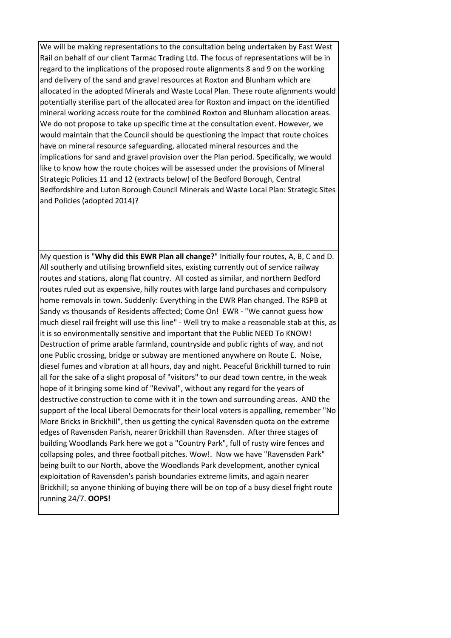We will be making representations to the consultation being undertaken by East West Rail on behalf of our client Tarmac Trading Ltd. The focus of representations will be in regard to the implications of the proposed route alignments 8 and 9 on the working and delivery of the sand and gravel resources at Roxton and Blunham which are allocated in the adopted Minerals and Waste Local Plan. These route alignments would potentially sterilise part of the allocated area for Roxton and impact on the identified mineral working access route for the combined Roxton and Blunham allocation areas. We do not propose to take up specific time at the consultation event. However, we would maintain that the Council should be questioning the impact that route choices have on mineral resource safeguarding, allocated mineral resources and the implications for sand and gravel provision over the Plan period. Specifically, we would like to know how the route choices will be assessed under the provisions of Mineral Strategic Policies 11 and 12 (extracts below) of the Bedford Borough, Central Bedfordshire and Luton Borough Council Minerals and Waste Local Plan: Strategic Sites and Policies (adopted 2014)?

My question is "**Why did this EWR Plan all change?**" Initially four routes, A, B, C and D. All southerly and utilising brownfield sites, existing currently out of service railway routes and stations, along flat country. All costed as similar, and northern Bedford routes ruled out as expensive, hilly routes with large land purchases and compulsory home removals in town. Suddenly: Everything in the EWR Plan changed. The RSPB at Sandy vs thousands of Residents affected; Come On! EWR - "We cannot guess how much diesel rail freight will use this line" - Well try to make a reasonable stab at this, as it is so environmentally sensitive and important that the Public NEED To KNOW! Destruction of prime arable farmland, countryside and public rights of way, and not one Public crossing, bridge or subway are mentioned anywhere on Route E. Noise, diesel fumes and vibration at all hours, day and night. Peaceful Brickhill turned to ruin all for the sake of a slight proposal of "visitors" to our dead town centre, in the weak hope of it bringing some kind of "Revival", without any regard for the years of destructive construction to come with it in the town and surrounding areas. AND the support of the local Liberal Democrats for their local voters is appalling, remember "No More Bricks in Brickhill", then us getting the cynical Ravensden quota on the extreme edges of Ravensden Parish, nearer Brickhill than Ravensden. After three stages of building Woodlands Park here we got a "Country Park", full of rusty wire fences and collapsing poles, and three football pitches. Wow!. Now we have "Ravensden Park" being built to our North, above the Woodlands Park development, another cynical exploitation of Ravensden's parish boundaries extreme limits, and again nearer Brickhill; so anyone thinking of buying there will be on top of a busy diesel fright route running 24/7. **OOPS!**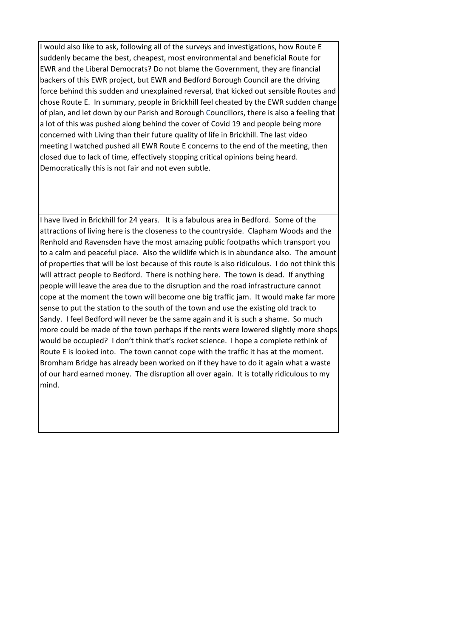I would also like to ask, following all of the surveys and investigations, how Route E suddenly became the best, cheapest, most environmental and beneficial Route for EWR and the Liberal Democrats? Do not blame the Government, they are financial backers of this EWR project, but EWR and Bedford Borough Council are the driving force behind this sudden and unexplained reversal, that kicked out sensible Routes and chose Route E. In summary, people in Brickhill feel cheated by the EWR sudden change of plan, and let down by our Parish and Borough Councillors, there is also a feeling that a lot of this was pushed along behind the cover of Covid 19 and people being more concerned with Living than their future quality of life in Brickhill. The last video meeting I watched pushed all EWR Route E concerns to the end of the meeting, then closed due to lack of time, effectively stopping critical opinions being heard. Democratically this is not fair and not even subtle.

I have lived in Brickhill for 24 years. It is a fabulous area in Bedford. Some of the attractions of living here is the closeness to the countryside. Clapham Woods and the Renhold and Ravensden have the most amazing public footpaths which transport you to a calm and peaceful place. Also the wildlife which is in abundance also. The amount of properties that will be lost because of this route is also ridiculous. I do not think this will attract people to Bedford. There is nothing here. The town is dead. If anything people will leave the area due to the disruption and the road infrastructure cannot cope at the moment the town will become one big traffic jam. It would make far more sense to put the station to the south of the town and use the existing old track to Sandy. I feel Bedford will never be the same again and it is such a shame. So much more could be made of the town perhaps if the rents were lowered slightly more shops would be occupied? I don't think that's rocket science. I hope a complete rethink of Route E is looked into. The town cannot cope with the traffic it has at the moment. Bromham Bridge has already been worked on if they have to do it again what a waste of our hard earned money. The disruption all over again. It is totally ridiculous to my mind.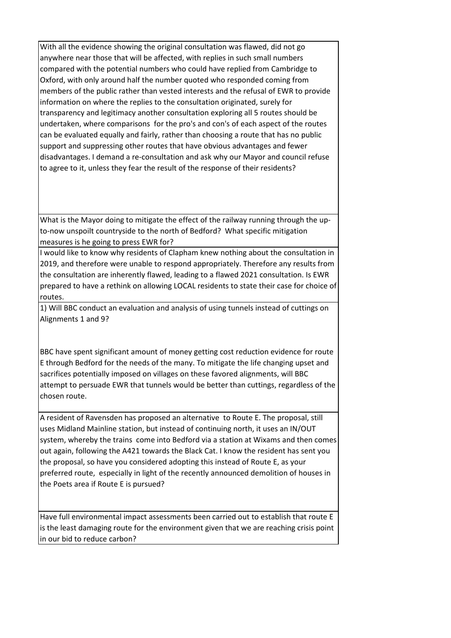With all the evidence showing the original consultation was flawed, did not go anywhere near those that will be affected, with replies in such small numbers compared with the potential numbers who could have replied from Cambridge to Oxford, with only around half the number quoted who responded coming from members of the public rather than vested interests and the refusal of EWR to provide information on where the replies to the consultation originated, surely for transparency and legitimacy another consultation exploring all 5 routes should be undertaken, where comparisons for the pro's and con's of each aspect of the routes can be evaluated equally and fairly, rather than choosing a route that has no public support and suppressing other routes that have obvious advantages and fewer disadvantages. I demand a re-consultation and ask why our Mayor and council refuse to agree to it, unless they fear the result of the response of their residents?

What is the Mayor doing to mitigate the effect of the railway running through the upto-now unspoilt countryside to the north of Bedford? What specific mitigation measures is he going to press EWR for?

I would like to know why residents of Clapham knew nothing about the consultation in 2019, and therefore were unable to respond appropriately. Therefore any results from the consultation are inherently flawed, leading to a flawed 2021 consultation. Is EWR prepared to have a rethink on allowing LOCAL residents to state their case for choice of routes.

1) Will BBC conduct an evaluation and analysis of using tunnels instead of cuttings on Alignments 1 and 9?

BBC have spent significant amount of money getting cost reduction evidence for route E through Bedford for the needs of the many. To mitigate the life changing upset and sacrifices potentially imposed on villages on these favored alignments, will BBC attempt to persuade EWR that tunnels would be better than cuttings, regardless of the chosen route.

A resident of Ravensden has proposed an alternative to Route E. The proposal, still uses Midland Mainline station, but instead of continuing north, it uses an IN/OUT system, whereby the trains come into Bedford via a station at Wixams and then comes out again, following the A421 towards the Black Cat. I know the resident has sent you the proposal, so have you considered adopting this instead of Route E, as your preferred route, especially in light of the recently announced demolition of houses in the Poets area if Route E is pursued?

Have full environmental impact assessments been carried out to establish that route E is the least damaging route for the environment given that we are reaching crisis point in our bid to reduce carbon?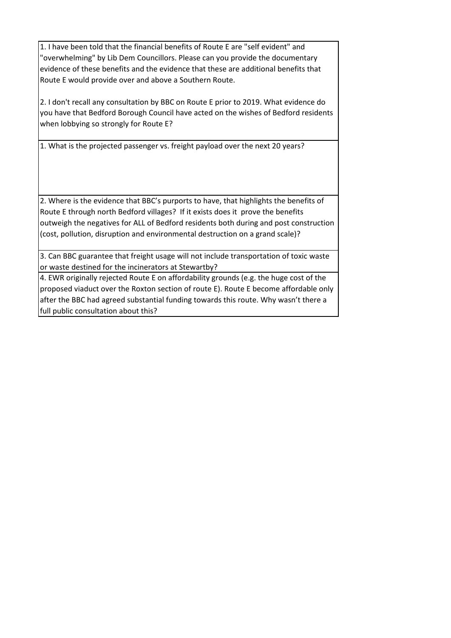1. I have been told that the financial benefits of Route E are "self evident" and "overwhelming" by Lib Dem Councillors. Please can you provide the documentary evidence of these benefits and the evidence that these are additional benefits that Route E would provide over and above a Southern Route.

2. I don't recall any consultation by BBC on Route E prior to 2019. What evidence do you have that Bedford Borough Council have acted on the wishes of Bedford residents when lobbying so strongly for Route E?

1. What is the projected passenger vs. freight payload over the next 20 years?

2. Where is the evidence that BBC's purports to have, that highlights the benefits of Route E through north Bedford villages? If it exists does it prove the benefits outweigh the negatives for ALL of Bedford residents both during and post construction (cost, pollution, disruption and environmental destruction on a grand scale)?

3. Can BBC guarantee that freight usage will not include transportation of toxic waste or waste destined for the incinerators at Stewartby?

4. EWR originally rejected Route E on affordability grounds (e.g. the huge cost of the proposed viaduct over the Roxton section of route E). Route E become affordable only after the BBC had agreed substantial funding towards this route. Why wasn't there a full public consultation about this?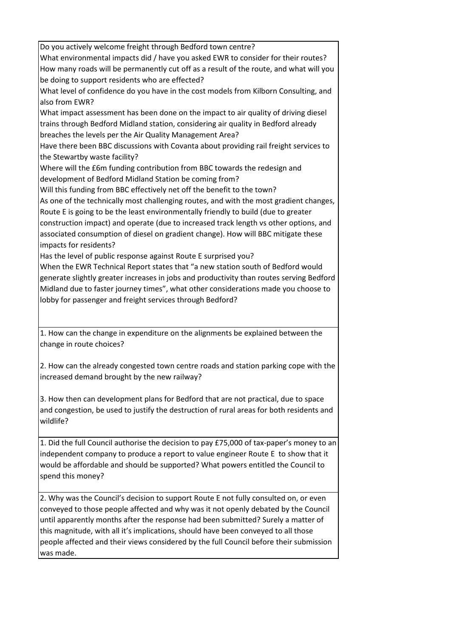Do you actively welcome freight through Bedford town centre? What environmental impacts did / have you asked EWR to consider for their routes? How many roads will be permanently cut off as a result of the route, and what will you be doing to support residents who are effected? What level of confidence do you have in the cost models from Kilborn Consulting, and also from EWR? What impact assessment has been done on the impact to air quality of driving diesel trains through Bedford Midland station, considering air quality in Bedford already breaches the levels per the Air Quality Management Area? Have there been BBC discussions with Covanta about providing rail freight services to the Stewartby waste facility? Where will the £6m funding contribution from BBC towards the redesign and development of Bedford Midland Station be coming from? Will this funding from BBC effectively net off the benefit to the town? As one of the technically most challenging routes, and with the most gradient changes, Route E is going to be the least environmentally friendly to build (due to greater construction impact) and operate (due to increased track length vs other options, and associated consumption of diesel on gradient change). How will BBC mitigate these impacts for residents? Has the level of public response against Route E surprised you? When the EWR Technical Report states that "a new station south of Bedford would generate slightly greater increases in jobs and productivity than routes serving Bedford Midland due to faster journey times", what other considerations made you choose to lobby for passenger and freight services through Bedford?

1. How can the change in expenditure on the alignments be explained between the change in route choices?

2. How can the already congested town centre roads and station parking cope with the increased demand brought by the new railway?

3. How then can development plans for Bedford that are not practical, due to space and congestion, be used to justify the destruction of rural areas for both residents and wildlife?

1. Did the full Council authorise the decision to pay £75,000 of tax-paper's money to an independent company to produce a report to value engineer Route E to show that it would be affordable and should be supported? What powers entitled the Council to spend this money?

2. Why was the Council's decision to support Route E not fully consulted on, or even conveyed to those people affected and why was it not openly debated by the Council until apparently months after the response had been submitted? Surely a matter of this magnitude, with all it's implications, should have been conveyed to all those people affected and their views considered by the full Council before their submission was made.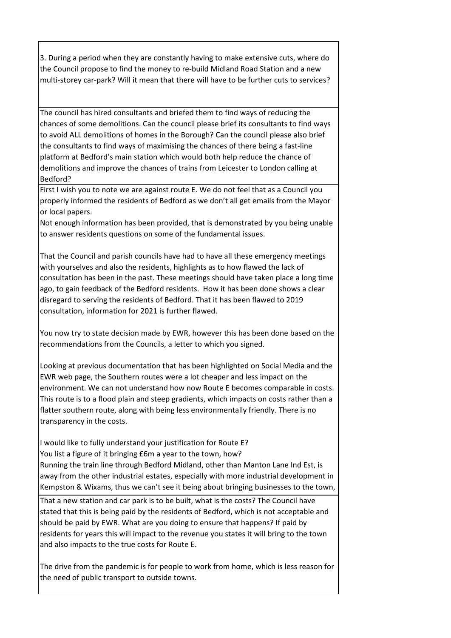3. During a period when they are constantly having to make extensive cuts, where do the Council propose to find the money to re-build Midland Road Station and a new multi-storey car-park? Will it mean that there will have to be further cuts to services?

The council has hired consultants and briefed them to find ways of reducing the chances of some demolitions. Can the council please brief its consultants to find ways to avoid ALL demolitions of homes in the Borough? Can the council please also brief the consultants to find ways of maximising the chances of there being a fast-line platform at Bedford's main station which would both help reduce the chance of demolitions and improve the chances of trains from Leicester to London calling at Bedford?

First I wish you to note we are against route E. We do not feel that as a Council you properly informed the residents of Bedford as we don't all get emails from the Mayor or local papers.

Not enough information has been provided, that is demonstrated by you being unable to answer residents questions on some of the fundamental issues.

That the Council and parish councils have had to have all these emergency meetings with yourselves and also the residents, highlights as to how flawed the lack of consultation has been in the past. These meetings should have taken place a long time ago, to gain feedback of the Bedford residents. How it has been done shows a clear disregard to serving the residents of Bedford. That it has been flawed to 2019 consultation, information for 2021 is further flawed.

You now try to state decision made by EWR, however this has been done based on the recommendations from the Councils, a letter to which you signed.

Looking at previous documentation that has been highlighted on Social Media and the EWR web page, the Southern routes were a lot cheaper and less impact on the environment. We can not understand how now Route E becomes comparable in costs. This route is to a flood plain and steep gradients, which impacts on costs rather than a flatter southern route, along with being less environmentally friendly. There is no transparency in the costs.

I would like to fully understand your justification for Route E? You list a figure of it bringing £6m a year to the town, how? Running the train line through Bedford Midland, other than Manton Lane Ind Est, is away from the other industrial estates, especially with more industrial development in Kempston & Wixams, thus we can't see it being about bringing businesses to the town,

 That a new station and car park is to be built, what is the costs? The Council have stated that this is being paid by the residents of Bedford, which is not acceptable and should be paid by EWR. What are you doing to ensure that happens? If paid by residents for years this will impact to the revenue you states it will bring to the town and also impacts to the true costs for Route E.

The drive from the pandemic is for people to work from home, which is less reason for the need of public transport to outside towns.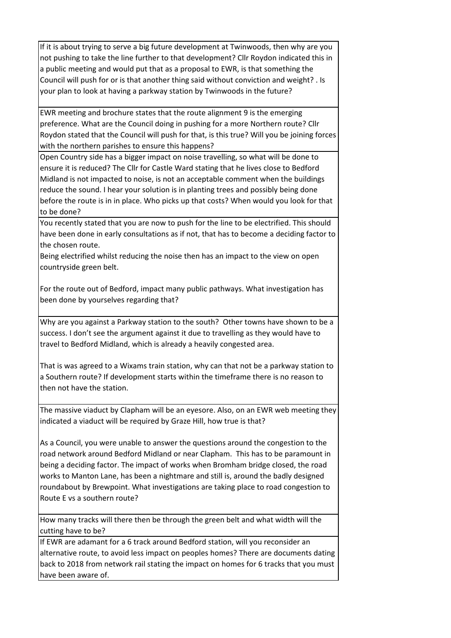If it is about trying to serve a big future development at Twinwoods, then why are you not pushing to take the line further to that development? Cllr Roydon indicated this in a public meeting and would put that as a proposal to EWR, is that something the Council will push for or is that another thing said without conviction and weight? . Is your plan to look at having a parkway station by Twinwoods in the future?

EWR meeting and brochure states that the route alignment 9 is the emerging preference. What are the Council doing in pushing for a more Northern route? Cllr Roydon stated that the Council will push for that, is this true? Will you be joining forces with the northern parishes to ensure this happens?

Open Country side has a bigger impact on noise travelling, so what will be done to ensure it is reduced? The Cllr for Castle Ward stating that he lives close to Bedford Midland is not impacted to noise, is not an acceptable comment when the buildings reduce the sound. I hear your solution is in planting trees and possibly being done before the route is in in place. Who picks up that costs? When would you look for that to be done?

You recently stated that you are now to push for the line to be electrified. This should have been done in early consultations as if not, that has to become a deciding factor to the chosen route.

Being electrified whilst reducing the noise then has an impact to the view on open countryside green belt.

For the route out of Bedford, impact many public pathways. What investigation has been done by yourselves regarding that?

Why are you against a Parkway station to the south? Other towns have shown to be a success. I don't see the argument against it due to travelling as they would have to travel to Bedford Midland, which is already a heavily congested area.

That is was agreed to a Wixams train station, why can that not be a parkway station to a Southern route? If development starts within the timeframe there is no reason to then not have the station.

The massive viaduct by Clapham will be an eyesore. Also, on an EWR web meeting they indicated a viaduct will be required by Graze Hill, how true is that?

As a Council, you were unable to answer the questions around the congestion to the road network around Bedford Midland or near Clapham. This has to be paramount in being a deciding factor. The impact of works when Bromham bridge closed, the road works to Manton Lane, has been a nightmare and still is, around the badly designed roundabout by Brewpoint. What investigations are taking place to road congestion to Route E vs a southern route?

How many tracks will there then be through the green belt and what width will the cutting have to be?

If EWR are adamant for a 6 track around Bedford station, will you reconsider an alternative route, to avoid less impact on peoples homes? There are documents dating back to 2018 from network rail stating the impact on homes for 6 tracks that you must have been aware of.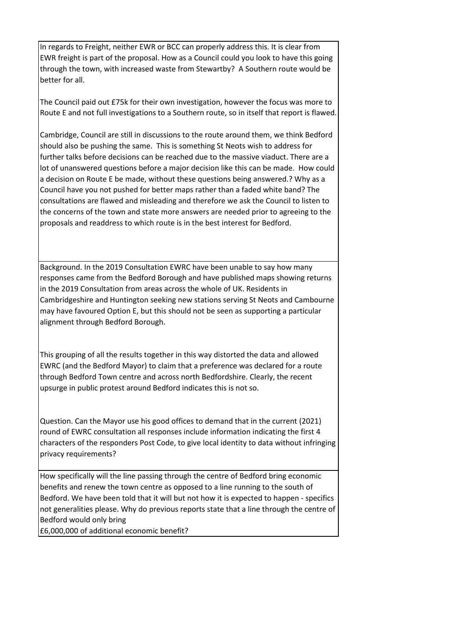In regards to Freight, neither EWR or BCC can properly address this. It is clear from EWR freight is part of the proposal. How as a Council could you look to have this going through the town, with increased waste from Stewartby? A Southern route would be better for all.

The Council paid out £75k for their own investigation, however the focus was more to Route E and not full investigations to a Southern route, so in itself that report is flawed.

Cambridge, Council are still in discussions to the route around them, we think Bedford should also be pushing the same. This is something St Neots wish to address for further talks before decisions can be reached due to the massive viaduct. There are a lot of unanswered questions before a major decision like this can be made. How could a decision on Route E be made, without these questions being answered.? Why as a Council have you not pushed for better maps rather than a faded white band? The consultations are flawed and misleading and therefore we ask the Council to listen to the concerns of the town and state more answers are needed prior to agreeing to the proposals and readdress to which route is in the best interest for Bedford.

Background. In the 2019 Consultation EWRC have been unable to say how many responses came from the Bedford Borough and have published maps showing returns in the 2019 Consultation from areas across the whole of UK. Residents in Cambridgeshire and Huntington seeking new stations serving St Neots and Cambourne may have favoured Option E, but this should not be seen as supporting a particular alignment through Bedford Borough.

This grouping of all the results together in this way distorted the data and allowed EWRC (and the Bedford Mayor) to claim that a preference was declared for a route through Bedford Town centre and across north Bedfordshire. Clearly, the recent upsurge in public protest around Bedford indicates this is not so.

Question. Can the Mayor use his good offices to demand that in the current (2021) round of EWRC consultation all responses include information indicating the first 4 characters of the responders Post Code, to give local identity to data without infringing privacy requirements?

How specifically will the line passing through the centre of Bedford bring economic benefits and renew the town centre as opposed to a line running to the south of Bedford. We have been told that it will but not how it is expected to happen - specifics not generalities please. Why do previous reports state that a line through the centre of Bedford would only bring

£6,000,000 of additional economic benefit?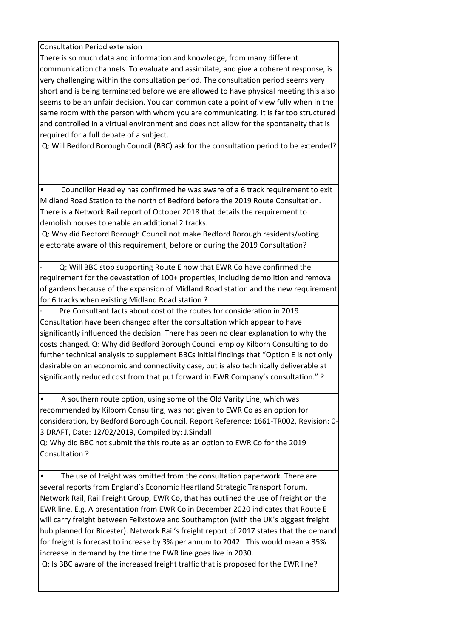Consultation Period extension

There is so much data and information and knowledge, from many different communication channels. To evaluate and assimilate, and give a coherent response, is very challenging within the consultation period. The consultation period seems very short and is being terminated before we are allowed to have physical meeting this also seems to be an unfair decision. You can communicate a point of view fully when in the same room with the person with whom you are communicating. It is far too structured and controlled in a virtual environment and does not allow for the spontaneity that is required for a full debate of a subject.

Q: Will Bedford Borough Council (BBC) ask for the consultation period to be extended?

• Councillor Headley has confirmed he was aware of a 6 track requirement to exit Midland Road Station to the north of Bedford before the 2019 Route Consultation. There is a Network Rail report of October 2018 that details the requirement to demolish houses to enable an additional 2 tracks.

 Q: Why did Bedford Borough Council not make Bedford Borough residents/voting electorate aware of this requirement, before or during the 2019 Consultation?

Q: Will BBC stop supporting Route E now that EWR Co have confirmed the requirement for the devastation of 100+ properties, including demolition and removal of gardens because of the expansion of Midland Road station and the new requirement for 6 tracks when existing Midland Road station ?

Pre Consultant facts about cost of the routes for consideration in 2019 Consultation have been changed after the consultation which appear to have significantly influenced the decision. There has been no clear explanation to why the costs changed. Q: Why did Bedford Borough Council employ Kilborn Consulting to do further technical analysis to supplement BBCs initial findings that "Option E is not only desirable on an economic and connectivity case, but is also technically deliverable at significantly reduced cost from that put forward in EWR Company's consultation." ?

• A southern route option, using some of the Old Varity Line, which was recommended by Kilborn Consulting, was not given to EWR Co as an option for consideration, by Bedford Borough Council. Report Reference: 1661-TR002, Revision: 0- 3 DRAFT, Date: 12/02/2019, Compiled by: J.Sindall

Q: Why did BBC not submit the this route as an option to EWR Co for the 2019 Consultation ?

The use of freight was omitted from the consultation paperwork. There are several reports from England's Economic Heartland Strategic Transport Forum, Network Rail, Rail Freight Group, EWR Co, that has outlined the use of freight on the EWR line. E.g. A presentation from EWR Co in December 2020 indicates that Route E will carry freight between Felixstowe and Southampton (with the UK's biggest freight hub planned for Bicester). Network Rail's freight report of 2017 states that the demand for freight is forecast to increase by 3% per annum to 2042. This would mean a 35% increase in demand by the time the EWR line goes live in 2030.

Q: Is BBC aware of the increased freight traffic that is proposed for the EWR line?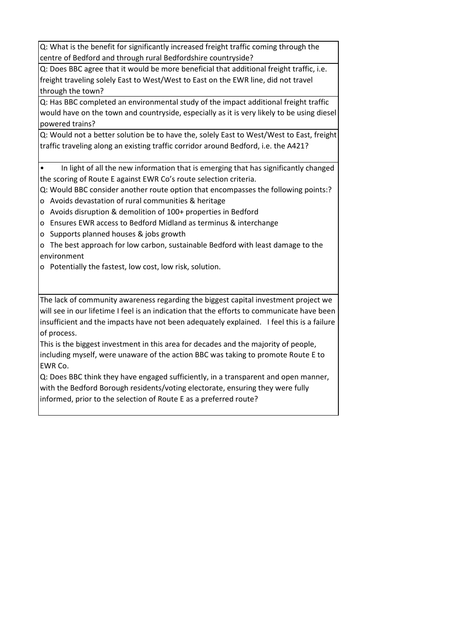Q: What is the benefit for significantly increased freight traffic coming through the centre of Bedford and through rural Bedfordshire countryside?

Q: Does BBC agree that it would be more beneficial that additional freight traffic, i.e. freight traveling solely East to West/West to East on the EWR line, did not travel through the town?

Q: Has BBC completed an environmental study of the impact additional freight traffic would have on the town and countryside, especially as it is very likely to be using diesel powered trains?

Q: Would not a better solution be to have the, solely East to West/West to East, freight traffic traveling along an existing traffic corridor around Bedford, i.e. the A421?

• In light of all the new information that is emerging that has significantly changed the scoring of Route E against EWR Co's route selection criteria.

Q: Would BBC consider another route option that encompasses the following points:?

- o Avoids devastation of rural communities & heritage
- o Avoids disruption & demolition of 100+ properties in Bedford
- o Ensures EWR access to Bedford Midland as terminus & interchange
- o Supports planned houses & jobs growth

o The best approach for low carbon, sustainable Bedford with least damage to the environment

o Potentially the fastest, low cost, low risk, solution.

The lack of community awareness regarding the biggest capital investment project we will see in our lifetime I feel is an indication that the efforts to communicate have been insufficient and the impacts have not been adequately explained. I feel this is a failure of process.

This is the biggest investment in this area for decades and the majority of people, including myself, were unaware of the action BBC was taking to promote Route E to EWR Co.

Q: Does BBC think they have engaged sufficiently, in a transparent and open manner, with the Bedford Borough residents/voting electorate, ensuring they were fully informed, prior to the selection of Route E as a preferred route?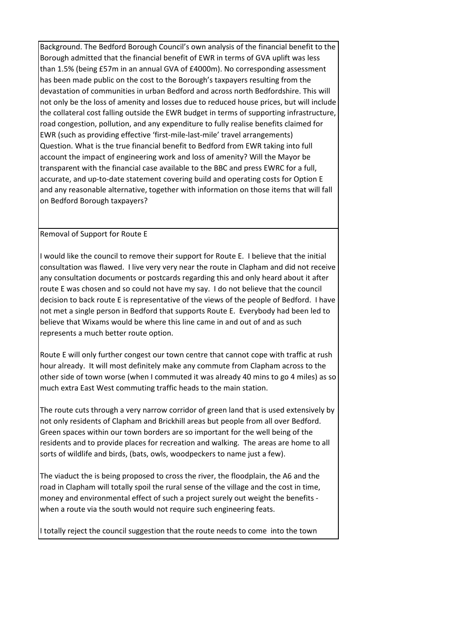Background. The Bedford Borough Council's own analysis of the financial benefit to the Borough admitted that the financial benefit of EWR in terms of GVA uplift was less than 1.5% (being £57m in an annual GVA of £4000m). No corresponding assessment has been made public on the cost to the Borough's taxpayers resulting from the devastation of communities in urban Bedford and across north Bedfordshire. This will not only be the loss of amenity and losses due to reduced house prices, but will include the collateral cost falling outside the EWR budget in terms of supporting infrastructure, road congestion, pollution, and any expenditure to fully realise benefits claimed for EWR (such as providing effective 'first-mile-last-mile' travel arrangements) Question. What is the true financial benefit to Bedford from EWR taking into full account the impact of engineering work and loss of amenity? Will the Mayor be transparent with the financial case available to the BBC and press EWRC for a full, accurate, and up-to-date statement covering build and operating costs for Option E and any reasonable alternative, together with information on those items that will fall on Bedford Borough taxpayers?

## Removal of Support for Route E

I

I would like the council to remove their support for Route E. I believe that the initial consultation was flawed. I live very very near the route in Clapham and did not receive any consultation documents or postcards regarding this and only heard about it after route E was chosen and so could not have my say. I do not believe that the council decision to back route E is representative of the views of the people of Bedford. I have not met a single person in Bedford that supports Route E. Everybody had been led to believe that Wixams would be where this line came in and out of and as such represents a much better route option.

Route E will only further congest our town centre that cannot cope with traffic at rush hour already. It will most definitely make any commute from Clapham across to the other side of town worse (when I commuted it was already 40 mins to go 4 miles) as so much extra East West commuting traffic heads to the main station.

The route cuts through a very narrow corridor of green land that is used extensively by not only residents of Clapham and Brickhill areas but people from all over Bedford. Green spaces within our town borders are so important for the well being of the residents and to provide places for recreation and walking. The areas are home to all sorts of wildlife and birds, (bats, owls, woodpeckers to name just a few).

The viaduct the is being proposed to cross the river, the floodplain, the A6 and the road in Clapham will totally spoil the rural sense of the village and the cost in time, money and environmental effect of such a project surely out weight the benefits when a route via the south would not require such engineering feats.

I totally reject the council suggestion that the route needs to come into the town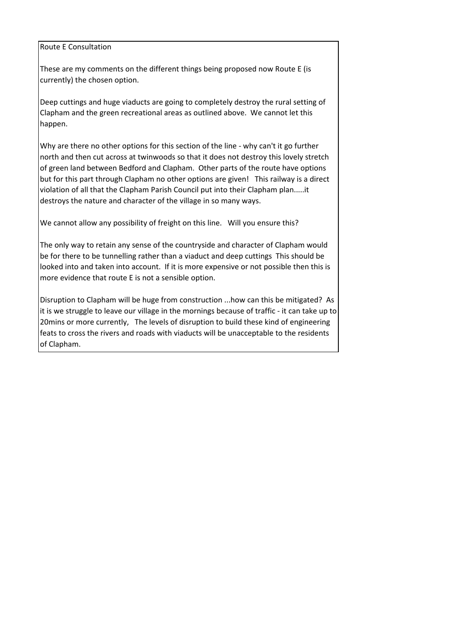## Route E Consultation

These are my comments on the different things being proposed now Route E (is currently) the chosen option.

Deep cuttings and huge viaducts are going to completely destroy the rural setting of Clapham and the green recreational areas as outlined above. We cannot let this happen.

Why are there no other options for this section of the line - why can't it go further north and then cut across at twinwoods so that it does not destroy this lovely stretch of green land between Bedford and Clapham. Other parts of the route have options but for this part through Clapham no other options are given! This railway is a direct violation of all that the Clapham Parish Council put into their Clapham plan.....it destroys the nature and character of the village in so many ways.

We cannot allow any possibility of freight on this line. Will you ensure this?

The only way to retain any sense of the countryside and character of Clapham would be for there to be tunnelling rather than a viaduct and deep cuttings This should be looked into and taken into account. If it is more expensive or not possible then this is more evidence that route E is not a sensible option.

Disruption to Clapham will be huge from construction ...how can this be mitigated? As it is we struggle to leave our village in the mornings because of traffic - it can take up to 20mins or more currently, The levels of disruption to build these kind of engineering feats to cross the rivers and roads with viaducts will be unacceptable to the residents of Clapham.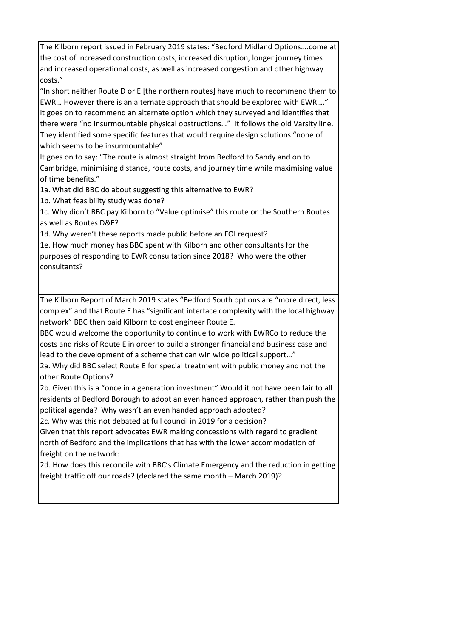The Kilborn report issued in February 2019 states: "Bedford Midland Options….come at the cost of increased construction costs, increased disruption, longer journey times and increased operational costs, as well as increased congestion and other highway costs."

"In short neither Route D or E [the northern routes] have much to recommend them to EWR… However there is an alternate approach that should be explored with EWR…." It goes on to recommend an alternate option which they surveyed and identifies that there were "no insurmountable physical obstructions…" It follows the old Varsity line. They identified some specific features that would require design solutions "none of which seems to be insurmountable"

It goes on to say: "The route is almost straight from Bedford to Sandy and on to Cambridge, minimising distance, route costs, and journey time while maximising value of time benefits."

1a. What did BBC do about suggesting this alternative to EWR?

1b. What feasibility study was done?

1c. Why didn't BBC pay Kilborn to "Value optimise" this route or the Southern Routes as well as Routes D&E?

1d. Why weren't these reports made public before an FOI request?

1e. How much money has BBC spent with Kilborn and other consultants for the purposes of responding to EWR consultation since 2018? Who were the other consultants?

The Kilborn Report of March 2019 states "Bedford South options are "more direct, less complex" and that Route E has "significant interface complexity with the local highway network" BBC then paid Kilborn to cost engineer Route E.

BBC would welcome the opportunity to continue to work with EWRCo to reduce the costs and risks of Route E in order to build a stronger financial and business case and lead to the development of a scheme that can win wide political support…"

2a. Why did BBC select Route E for special treatment with public money and not the other Route Options?

2b. Given this is a "once in a generation investment" Would it not have been fair to all residents of Bedford Borough to adopt an even handed approach, rather than push the political agenda? Why wasn't an even handed approach adopted?

2c. Why was this not debated at full council in 2019 for a decision?

Given that this report advocates EWR making concessions with regard to gradient north of Bedford and the implications that has with the lower accommodation of freight on the network:

2d. How does this reconcile with BBC's Climate Emergency and the reduction in getting freight traffic off our roads? (declared the same month – March 2019)?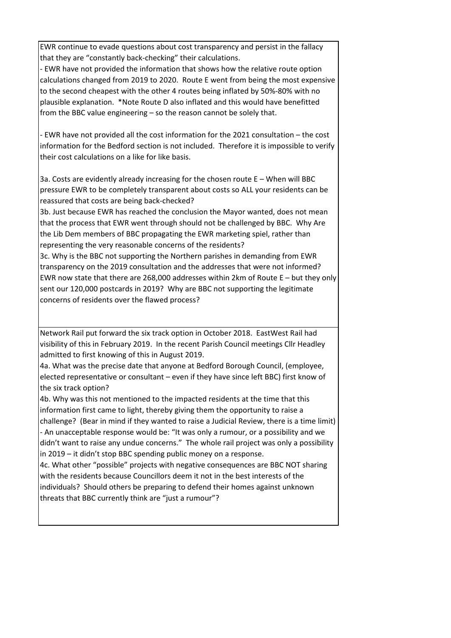EWR continue to evade questions about cost transparency and persist in the fallacy that they are "constantly back-checking" their calculations.

- EWR have not provided the information that shows how the relative route option calculations changed from 2019 to 2020. Route E went from being the most expensive to the second cheapest with the other 4 routes being inflated by 50%-80% with no plausible explanation. \*Note Route D also inflated and this would have benefitted from the BBC value engineering – so the reason cannot be solely that.

- EWR have not provided all the cost information for the 2021 consultation – the cost information for the Bedford section is not included. Therefore it is impossible to verify their cost calculations on a like for like basis.

3a. Costs are evidently already increasing for the chosen route E – When will BBC pressure EWR to be completely transparent about costs so ALL your residents can be reassured that costs are being back-checked?

3b. Just because EWR has reached the conclusion the Mayor wanted, does not mean that the process that EWR went through should not be challenged by BBC. Why Are the Lib Dem members of BBC propagating the EWR marketing spiel, rather than representing the very reasonable concerns of the residents?

3c. Why is the BBC not supporting the Northern parishes in demanding from EWR transparency on the 2019 consultation and the addresses that were not informed? EWR now state that there are 268,000 addresses within 2km of Route E – but they only sent our 120,000 postcards in 2019? Why are BBC not supporting the legitimate concerns of residents over the flawed process?

Network Rail put forward the six track option in October 2018. EastWest Rail had visibility of this in February 2019. In the recent Parish Council meetings Cllr Headley admitted to first knowing of this in August 2019.

4a. What was the precise date that anyone at Bedford Borough Council, (employee, elected representative or consultant – even if they have since left BBC) first know of the six track option?

4b. Why was this not mentioned to the impacted residents at the time that this information first came to light, thereby giving them the opportunity to raise a challenge? (Bear in mind if they wanted to raise a Judicial Review, there is a time limit) - An unacceptable response would be: "It was only a rumour, or a possibility and we didn't want to raise any undue concerns." The whole rail project was only a possibility in 2019 – it didn't stop BBC spending public money on a response.

4c. What other "possible" projects with negative consequences are BBC NOT sharing with the residents because Councillors deem it not in the best interests of the individuals? Should others be preparing to defend their homes against unknown threats that BBC currently think are "just a rumour"?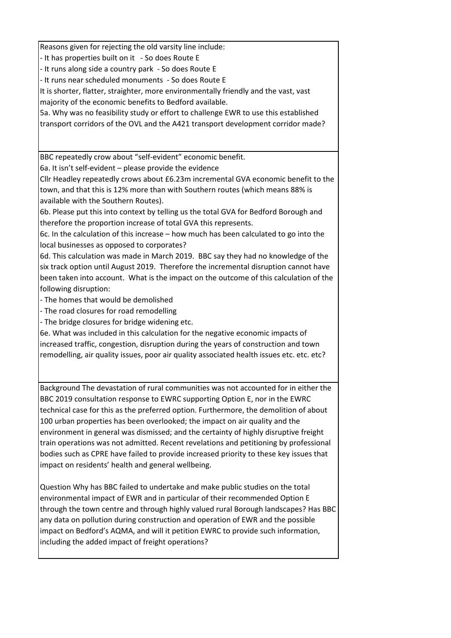Reasons given for rejecting the old varsity line include:

- It has properties built on it - So does Route E

- It runs along side a country park - So does Route E

- It runs near scheduled monuments - So does Route E

It is shorter, flatter, straighter, more environmentally friendly and the vast, vast

majority of the economic benefits to Bedford available.

5a. Why was no feasibility study or effort to challenge EWR to use this established transport corridors of the OVL and the A421 transport development corridor made?

BBC repeatedly crow about "self-evident" economic benefit.

6a. It isn't self-evident – please provide the evidence

Cllr Headley repeatedly crows about £6.23m incremental GVA economic benefit to the town, and that this is 12% more than with Southern routes (which means 88% is available with the Southern Routes).

6b. Please put this into context by telling us the total GVA for Bedford Borough and therefore the proportion increase of total GVA this represents.

6c. In the calculation of this increase – how much has been calculated to go into the local businesses as opposed to corporates?

6d. This calculation was made in March 2019. BBC say they had no knowledge of the six track option until August 2019. Therefore the incremental disruption cannot have been taken into account. What is the impact on the outcome of this calculation of the following disruption:

- The homes that would be demolished

- The road closures for road remodelling

- The bridge closures for bridge widening etc.

6e. What was included in this calculation for the negative economic impacts of increased traffic, congestion, disruption during the years of construction and town remodelling, air quality issues, poor air quality associated health issues etc. etc. etc?

Background The devastation of rural communities was not accounted for in either the BBC 2019 consultation response to EWRC supporting Option E, nor in the EWRC technical case for this as the preferred option. Furthermore, the demolition of about 100 urban properties has been overlooked; the impact on air quality and the environment in general was dismissed; and the certainty of highly disruptive freight train operations was not admitted. Recent revelations and petitioning by professional bodies such as CPRE have failed to provide increased priority to these key issues that impact on residents' health and general wellbeing.

Question Why has BBC failed to undertake and make public studies on the total environmental impact of EWR and in particular of their recommended Option E through the town centre and through highly valued rural Borough landscapes? Has BBC any data on pollution during construction and operation of EWR and the possible impact on Bedford's AQMA, and will it petition EWRC to provide such information, including the added impact of freight operations?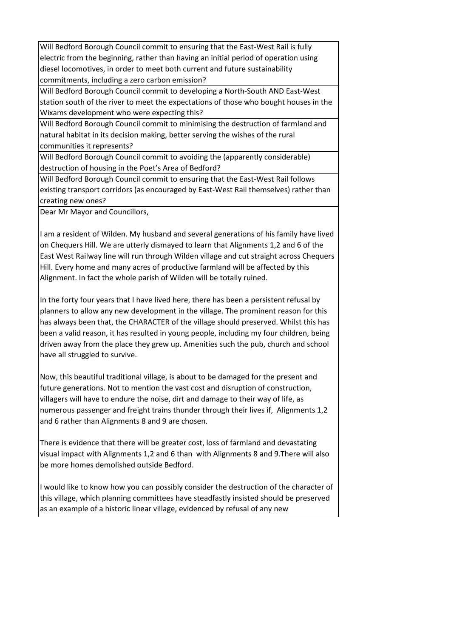Will Bedford Borough Council commit to ensuring that the East-West Rail is fully electric from the beginning, rather than having an initial period of operation using diesel locomotives, in order to meet both current and future sustainability commitments, including a zero carbon emission?

Will Bedford Borough Council commit to developing a North-South AND East-West station south of the river to meet the expectations of those who bought houses in the Wixams development who were expecting this?

Will Bedford Borough Council commit to minimising the destruction of farmland and natural habitat in its decision making, better serving the wishes of the rural communities it represents?

Will Bedford Borough Council commit to avoiding the (apparently considerable) destruction of housing in the Poet's Area of Bedford?

Will Bedford Borough Council commit to ensuring that the East-West Rail follows existing transport corridors (as encouraged by East-West Rail themselves) rather than creating new ones?

Dear Mr Mayor and Councillors,

I am a resident of Wilden. My husband and several generations of his family have lived on Chequers Hill. We are utterly dismayed to learn that Alignments 1,2 and 6 of the East West Railway line will run through Wilden village and cut straight across Chequers Hill. Every home and many acres of productive farmland will be affected by this Alignment. In fact the whole parish of Wilden will be totally ruined.

In the forty four years that I have lived here, there has been a persistent refusal by planners to allow any new development in the village. The prominent reason for this has always been that, the CHARACTER of the village should preserved. Whilst this has been a valid reason, it has resulted in young people, including my four children, being driven away from the place they grew up. Amenities such the pub, church and school have all struggled to survive.

Now, this beautiful traditional village, is about to be damaged for the present and future generations. Not to mention the vast cost and disruption of construction, villagers will have to endure the noise, dirt and damage to their way of life, as numerous passenger and freight trains thunder through their lives if, Alignments 1,2 and 6 rather than Alignments 8 and 9 are chosen.

There is evidence that there will be greater cost, loss of farmland and devastating visual impact with Alignments 1,2 and 6 than with Alignments 8 and 9.There will also be more homes demolished outside Bedford.

I would like to know how you can possibly consider the destruction of the character of this village, which planning committees have steadfastly insisted should be preserved as an example of a historic linear village, evidenced by refusal of any new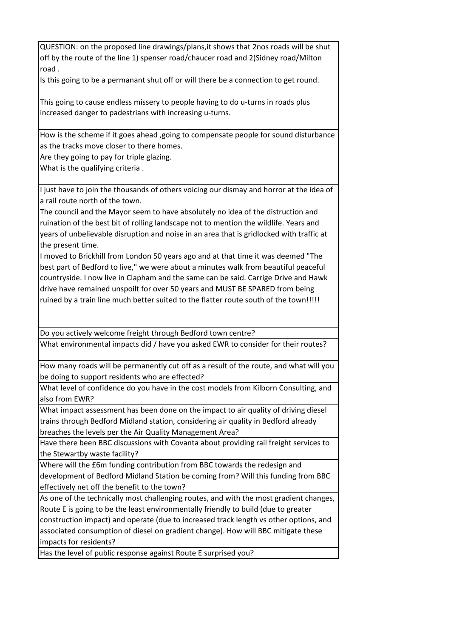QUESTION: on the proposed line drawings/plans,it shows that 2nos roads will be shut off by the route of the line 1) spenser road/chaucer road and 2)Sidney road/Milton road .

Is this going to be a permanant shut off or will there be a connection to get round.

This going to cause endless missery to people having to do u-turns in roads plus increased danger to padestrians with increasing u-turns.

How is the scheme if it goes ahead ,going to compensate people for sound disturbance as the tracks move closer to there homes.

Are they going to pay for triple glazing.

What is the qualifying criteria .

I just have to join the thousands of others voicing our dismay and horror at the idea of a rail route north of the town.

The council and the Mayor seem to have absolutely no idea of the distruction and ruination of the best bit of rolling landscape not to mention the wildlife. Years and years of unbelievable disruption and noise in an area that is gridlocked with traffic at the present time.

I moved to Brickhill from London 50 years ago and at that time it was deemed "The best part of Bedford to live," we were about a minutes walk from beautiful peaceful countryside. I now live in Clapham and the same can be said. Carrige Drive and Hawk drive have remained unspoilt for over 50 years and MUST BE SPARED from being ruined by a train line much better suited to the flatter route south of the town!!!!!

Do you actively welcome freight through Bedford town centre?

What environmental impacts did / have you asked EWR to consider for their routes?

How many roads will be permanently cut off as a result of the route, and what will you be doing to support residents who are effected?

What level of confidence do you have in the cost models from Kilborn Consulting, and also from EWR?

What impact assessment has been done on the impact to air quality of driving diesel trains through Bedford Midland station, considering air quality in Bedford already breaches the levels per the Air Quality Management Area?

Have there been BBC discussions with Covanta about providing rail freight services to the Stewartby waste facility?

Where will the £6m funding contribution from BBC towards the redesign and development of Bedford Midland Station be coming from? Will this funding from BBC effectively net off the benefit to the town?

As one of the technically most challenging routes, and with the most gradient changes, Route E is going to be the least environmentally friendly to build (due to greater construction impact) and operate (due to increased track length vs other options, and associated consumption of diesel on gradient change). How will BBC mitigate these impacts for residents?

Has the level of public response against Route E surprised you?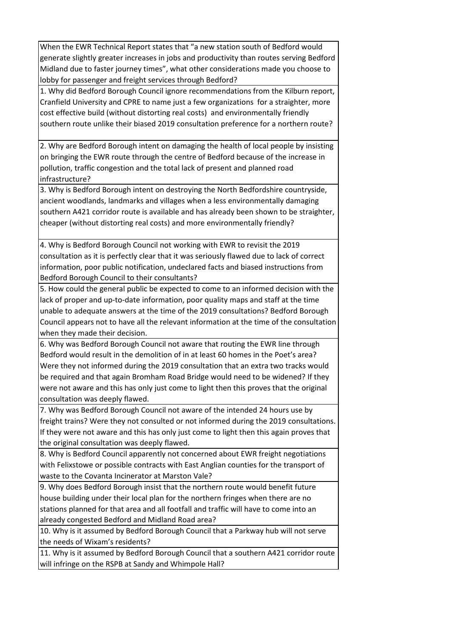When the EWR Technical Report states that "a new station south of Bedford would generate slightly greater increases in jobs and productivity than routes serving Bedford Midland due to faster journey times", what other considerations made you choose to lobby for passenger and freight services through Bedford?

1. Why did Bedford Borough Council ignore recommendations from the Kilburn report, Cranfield University and CPRE to name just a few organizations for a straighter, more cost effective build (without distorting real costs) and environmentally friendly southern route unlike their biased 2019 consultation preference for a northern route?

2. Why are Bedford Borough intent on damaging the health of local people by insisting on bringing the EWR route through the centre of Bedford because of the increase in pollution, traffic congestion and the total lack of present and planned road infrastructure?

3. Why is Bedford Borough intent on destroying the North Bedfordshire countryside, ancient woodlands, landmarks and villages when a less environmentally damaging southern A421 corridor route is available and has already been shown to be straighter, cheaper (without distorting real costs) and more environmentally friendly?

4. Why is Bedford Borough Council not working with EWR to revisit the 2019 consultation as it is perfectly clear that it was seriously flawed due to lack of correct information, poor public notification, undeclared facts and biased instructions from Bedford Borough Council to their consultants?

5. How could the general public be expected to come to an informed decision with the lack of proper and up-to-date information, poor quality maps and staff at the time unable to adequate answers at the time of the 2019 consultations? Bedford Borough Council appears not to have all the relevant information at the time of the consultation when they made their decision.

6. Why was Bedford Borough Council not aware that routing the EWR line through Bedford would result in the demolition of in at least 60 homes in the Poet's area? Were they not informed during the 2019 consultation that an extra two tracks would be required and that again Bromham Road Bridge would need to be widened? If they were not aware and this has only just come to light then this proves that the original consultation was deeply flawed.

7. Why was Bedford Borough Council not aware of the intended 24 hours use by freight trains? Were they not consulted or not informed during the 2019 consultations. If they were not aware and this has only just come to light then this again proves that the original consultation was deeply flawed.

8. Why is Bedford Council apparently not concerned about EWR freight negotiations with Felixstowe or possible contracts with East Anglian counties for the transport of waste to the Covanta Incinerator at Marston Vale?

9. Why does Bedford Borough insist that the northern route would benefit future house building under their local plan for the northern fringes when there are no stations planned for that area and all footfall and traffic will have to come into an already congested Bedford and Midland Road area?

10. Why is it assumed by Bedford Borough Council that a Parkway hub will not serve the needs of Wixam's residents?

11. Why is it assumed by Bedford Borough Council that a southern A421 corridor route will infringe on the RSPB at Sandy and Whimpole Hall?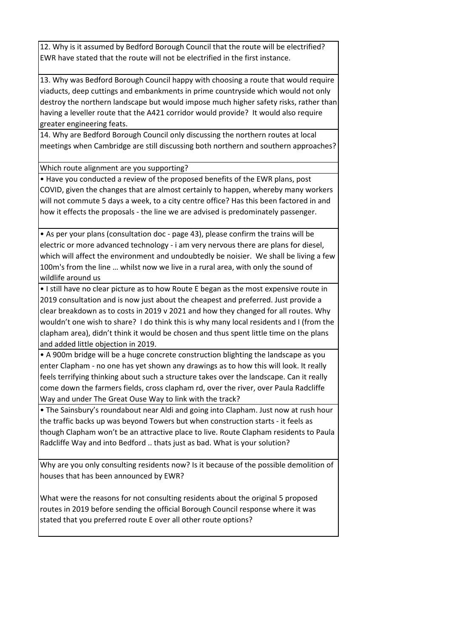12. Why is it assumed by Bedford Borough Council that the route will be electrified? EWR have stated that the route will not be electrified in the first instance.

13. Why was Bedford Borough Council happy with choosing a route that would require viaducts, deep cuttings and embankments in prime countryside which would not only destroy the northern landscape but would impose much higher safety risks, rather than having a leveller route that the A421 corridor would provide? It would also require greater engineering feats.

14. Why are Bedford Borough Council only discussing the northern routes at local meetings when Cambridge are still discussing both northern and southern approaches?

Which route alignment are you supporting?

• Have you conducted a review of the proposed benefits of the EWR plans, post COVID, given the changes that are almost certainly to happen, whereby many workers will not commute 5 days a week, to a city centre office? Has this been factored in and how it effects the proposals - the line we are advised is predominately passenger.

• As per your plans (consultation doc - page 43), please confirm the trains will be electric or more advanced technology - i am very nervous there are plans for diesel, which will affect the environment and undoubtedly be noisier. We shall be living a few 100m's from the line … whilst now we live in a rural area, with only the sound of wildlife around us

• I still have no clear picture as to how Route E began as the most expensive route in 2019 consultation and is now just about the cheapest and preferred. Just provide a clear breakdown as to costs in 2019 v 2021 and how they changed for all routes. Why wouldn't one wish to share? I do think this is why many local residents and I (from the clapham area), didn't think it would be chosen and thus spent little time on the plans and added little objection in 2019.

• A 900m bridge will be a huge concrete construction blighting the landscape as you enter Clapham - no one has yet shown any drawings as to how this will look. It really feels terrifying thinking about such a structure takes over the landscape. Can it really come down the farmers fields, cross clapham rd, over the river, over Paula Radcliffe Way and under The Great Ouse Way to link with the track?

• The Sainsbury's roundabout near Aldi and going into Clapham. Just now at rush hour the traffic backs up was beyond Towers but when construction starts - it feels as though Clapham won't be an attractive place to live. Route Clapham residents to Paula Radcliffe Way and into Bedford .. thats just as bad. What is your solution?

Why are you only consulting residents now? Is it because of the possible demolition of houses that has been announced by EWR?

What were the reasons for not consulting residents about the original 5 proposed routes in 2019 before sending the official Borough Council response where it was stated that you preferred route E over all other route options?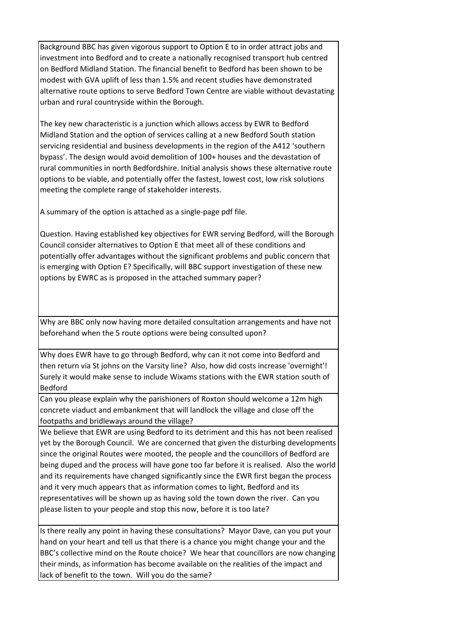Background BBC has given vigorous support to Option E to in order attract jobs and investment into Bedford and to create a nationally recognised transport hub centred on Bedford Midland Station. The financial benefit to Bedford has been shown to be modest with GVA uplift of less than 1.5% and recent studies have demonstrated alternative route options to serve Bedford Town Centre are viable without devastating urban and rural countryside within the Borough.

The key new characteristic is a junction which allows access by EWR to Bedford Midland Station and the option of services calling at a new Bedford South station servicing residential and business developments in the region of the A412 'southern bypass'. The design would avoid demolition of 100+ houses and the devastation of rural communities in north Bedfordshire. Initial analysis shows these alternative route options to be viable, and potentially offer the fastest, lowest cost, low risk solutions meeting the complete range of stakeholder interests.

A summary of the option is attached as a single-page pdf file.

Question. Having established key objectives for EWR serving Bedford, will the Borough Council consider alternatives to Option E that meet all of these conditions and potentially offer advantages without the significant problems and public concern that is emerging with Option E? Specifically, will BBC support investigation of these new options by EWRC as is proposed in the attached summary paper?

Why are BBC only now having more detailed consultation arrangements and have not beforehand when the 5 route options were being consulted upon?

Why does EWR have to go through Bedford, why can it not come into Bedford and then return via St johns on the Varsity line? Also, how did costs increase 'overnight'! Surely it would make sense to include Wixams stations with the EWR station south of Bedford

Can you please explain why the parishioners of Roxton should welcome a 12m high concrete viaduct and embankment that will landlock the village and close off the footpaths and bridleways around the village?

We believe that EWR are using Bedford to its detriment and this has not been realised yet by the Borough Council. We are concerned that given the disturbing developments since the original Routes were mooted, the people and the councillors of Bedford are being duped and the process will have gone too far before it is realised. Also the world and its requirements have changed significantly since the EWR first began the process and it very much appears that as information comes to light, Bedford and its representatives will be shown up as having sold the town down the river. Can you please listen to your people and stop this now, before it is too late?

Is there really any point in having these consultations? Mayor Dave, can you put your hand on your heart and tell us that there is a chance you might change your and the BBC's collective mind on the Route choice? We hear that councillors are now changing their minds, as information has become available on the realities of the impact and lack of benefit to the town. Will you do the same?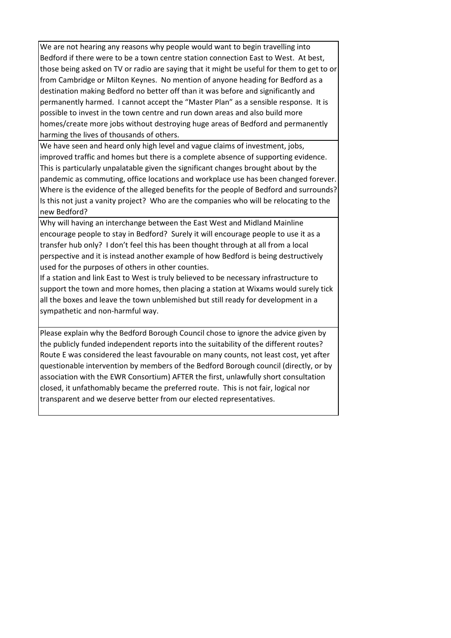We are not hearing any reasons why people would want to begin travelling into Bedford if there were to be a town centre station connection East to West. At best, those being asked on TV or radio are saying that it might be useful for them to get to or from Cambridge or Milton Keynes. No mention of anyone heading for Bedford as a destination making Bedford no better off than it was before and significantly and permanently harmed. I cannot accept the "Master Plan" as a sensible response. It is possible to invest in the town centre and run down areas and also build more homes/create more jobs without destroying huge areas of Bedford and permanently harming the lives of thousands of others.

We have seen and heard only high level and vague claims of investment, jobs, improved traffic and homes but there is a complete absence of supporting evidence. This is particularly unpalatable given the significant changes brought about by the pandemic as commuting, office locations and workplace use has been changed forever. Where is the evidence of the alleged benefits for the people of Bedford and surrounds? Is this not just a vanity project? Who are the companies who will be relocating to the new Bedford?

Why will having an interchange between the East West and Midland Mainline encourage people to stay in Bedford? Surely it will encourage people to use it as a transfer hub only? I don't feel this has been thought through at all from a local perspective and it is instead another example of how Bedford is being destructively used for the purposes of others in other counties.

If a station and link East to West is truly believed to be necessary infrastructure to support the town and more homes, then placing a station at Wixams would surely tick all the boxes and leave the town unblemished but still ready for development in a sympathetic and non-harmful way.

Please explain why the Bedford Borough Council chose to ignore the advice given by the publicly funded independent reports into the suitability of the different routes? Route E was considered the least favourable on many counts, not least cost, yet after questionable intervention by members of the Bedford Borough council (directly, or by association with the EWR Consortium) AFTER the first, unlawfully short consultation closed, it unfathomably became the preferred route. This is not fair, logical nor transparent and we deserve better from our elected representatives.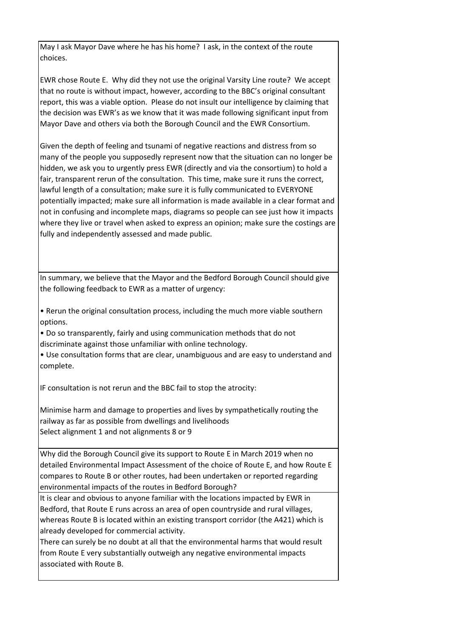May I ask Mayor Dave where he has his home? I ask, in the context of the route choices.

EWR chose Route E. Why did they not use the original Varsity Line route? We accept that no route is without impact, however, according to the BBC's original consultant report, this was a viable option. Please do not insult our intelligence by claiming that the decision was EWR's as we know that it was made following significant input from Mayor Dave and others via both the Borough Council and the EWR Consortium.

Given the depth of feeling and tsunami of negative reactions and distress from so many of the people you supposedly represent now that the situation can no longer be hidden, we ask you to urgently press EWR (directly and via the consortium) to hold a fair, transparent rerun of the consultation. This time, make sure it runs the correct, lawful length of a consultation; make sure it is fully communicated to EVERYONE potentially impacted; make sure all information is made available in a clear format and not in confusing and incomplete maps, diagrams so people can see just how it impacts where they live or travel when asked to express an opinion; make sure the costings are fully and independently assessed and made public.

In summary, we believe that the Mayor and the Bedford Borough Council should give the following feedback to EWR as a matter of urgency:

• Rerun the original consultation process, including the much more viable southern options.

• Do so transparently, fairly and using communication methods that do not discriminate against those unfamiliar with online technology.

• Use consultation forms that are clear, unambiguous and are easy to understand and complete.

IF consultation is not rerun and the BBC fail to stop the atrocity:

Minimise harm and damage to properties and lives by sympathetically routing the railway as far as possible from dwellings and livelihoods Select alignment 1 and not alignments 8 or 9

Why did the Borough Council give its support to Route E in March 2019 when no detailed Environmental Impact Assessment of the choice of Route E, and how Route E compares to Route B or other routes, had been undertaken or reported regarding environmental impacts of the routes in Bedford Borough?

It is clear and obvious to anyone familiar with the locations impacted by EWR in Bedford, that Route E runs across an area of open countryside and rural villages, whereas Route B is located within an existing transport corridor (the A421) which is already developed for commercial activity.

There can surely be no doubt at all that the environmental harms that would result from Route E very substantially outweigh any negative environmental impacts associated with Route B.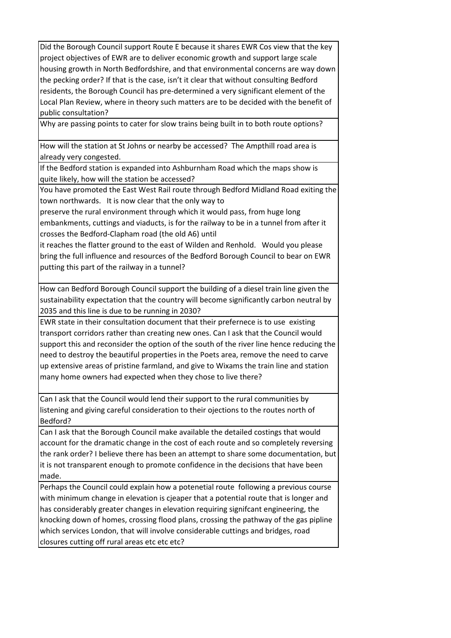Did the Borough Council support Route E because it shares EWR Cos view that the key project objectives of EWR are to deliver economic growth and support large scale housing growth in North Bedfordshire, and that environmental concerns are way down the pecking order? If that is the case, isn't it clear that without consulting Bedford residents, the Borough Council has pre-determined a very significant element of the Local Plan Review, where in theory such matters are to be decided with the benefit of public consultation?

Why are passing points to cater for slow trains being built in to both route options?

How will the station at St Johns or nearby be accessed? The Ampthill road area is already very congested.

If the Bedford station is expanded into Ashburnham Road which the maps show is quite likely, how will the station be accessed?

You have promoted the East West Rail route through Bedford Midland Road exiting the town northwards. It is now clear that the only way to

preserve the rural environment through which it would pass, from huge long embankments, cuttings and viaducts, is for the railway to be in a tunnel from after it crosses the Bedford-Clapham road (the old A6) until

it reaches the flatter ground to the east of Wilden and Renhold. Would you please bring the full influence and resources of the Bedford Borough Council to bear on EWR putting this part of the railway in a tunnel?

How can Bedford Borough Council support the building of a diesel train line given the sustainability expectation that the country will become significantly carbon neutral by 2035 and this line is due to be running in 2030?

EWR state in their consultation document that their prefernece is to use existing transport corridors rather than creating new ones. Can I ask that the Council would support this and reconsider the option of the south of the river line hence reducing the need to destroy the beautiful properties in the Poets area, remove the need to carve up extensive areas of pristine farmland, and give to Wixams the train line and station many home owners had expected when they chose to live there?

Can I ask that the Council would lend their support to the rural communities by listening and giving careful consideration to their ojections to the routes north of Bedford?

Can I ask that the Borough Council make available the detailed costings that would account for the dramatic change in the cost of each route and so completely reversing the rank order? I believe there has been an attempt to share some documentation, but it is not transparent enough to promote confidence in the decisions that have been made.

Perhaps the Council could explain how a potenetial route following a previous course with minimum change in elevation is cjeaper that a potential route that is longer and has considerably greater changes in elevation requiring signifcant engineering, the knocking down of homes, crossing flood plans, crossing the pathway of the gas pipline which services London, that will involve considerable cuttings and bridges, road closures cutting off rural areas etc etc etc?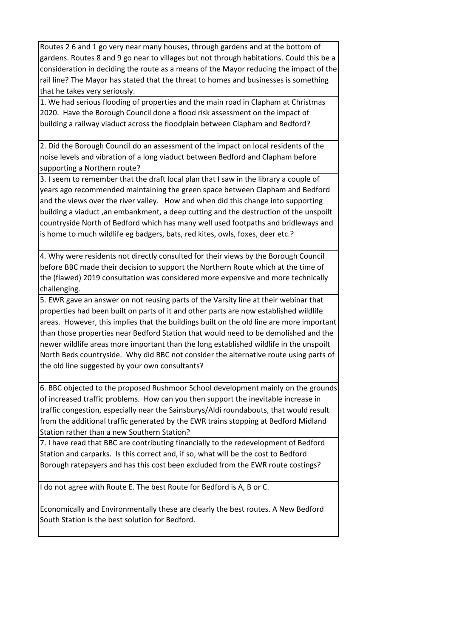Routes 2 6 and 1 go very near many houses, through gardens and at the bottom of gardens. Routes 8 and 9 go near to villages but not through habitations. Could this be a consideration in deciding the route as a means of the Mayor reducing the impact of the rail line? The Mayor has stated that the threat to homes and businesses is something that he takes very seriously.

1. We had serious flooding of properties and the main road in Clapham at Christmas 2020. Have the Borough Council done a flood risk assessment on the impact of building a railway viaduct across the floodplain between Clapham and Bedford?

2. Did the Borough Council do an assessment of the impact on local residents of the noise levels and vibration of a long viaduct between Bedford and Clapham before supporting a Northern route?

3. I seem to remember that the draft local plan that I saw in the library a couple of years ago recommended maintaining the green space between Clapham and Bedford and the views over the river valley. How and when did this change into supporting building a viaduct, an embankment, a deep cutting and the destruction of the unspoilt countryside North of Bedford which has many well used footpaths and bridleways and is home to much wildlife eg badgers, bats, red kites, owls, foxes, deer etc.?

4. Why were residents not directly consulted for their views by the Borough Council before BBC made their decision to support the Northern Route which at the time of the (flawed) 2019 consultation was considered more expensive and more technically challenging.

5. EWR gave an answer on not reusing parts of the Varsity line at their webinar that properties had been built on parts of it and other parts are now established wildlife areas. However, this implies that the buildings built on the old line are more important than those properties near Bedford Station that would need to be demolished and the newer wildlife areas more important than the long established wildlife in the unspoilt North Beds countryside. Why did BBC not consider the alternative route using parts of the old line suggested by your own consultants?

6. BBC objected to the proposed Rushmoor School development mainly on the grounds of increased traffic problems. How can you then support the inevitable increase in traffic congestion, especially near the Sainsburys/Aldi roundabouts, that would result from the additional traffic generated by the EWR trains stopping at Bedford Midland Station rather than a new Southern Station?

7. I have read that BBC are contributing financially to the redevelopment of Bedford Station and carparks. Is this correct and, if so, what will be the cost to Bedford Borough ratepayers and has this cost been excluded from the EWR route costings?

I do not agree with Route E. The best Route for Bedford is A, B or C.

Economically and Environmentally these are clearly the best routes. A New Bedford South Station is the best solution for Bedford.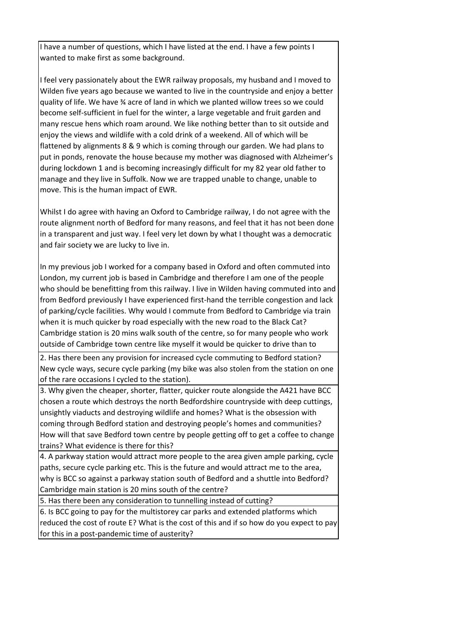I have a number of questions, which I have listed at the end. I have a few points I wanted to make first as some background.

I feel very passionately about the EWR railway proposals, my husband and I moved to Wilden five years ago because we wanted to live in the countryside and enjoy a better quality of life. We have ¾ acre of land in which we planted willow trees so we could become self-sufficient in fuel for the winter, a large vegetable and fruit garden and many rescue hens which roam around. We like nothing better than to sit outside and enjoy the views and wildlife with a cold drink of a weekend. All of which will be flattened by alignments 8 & 9 which is coming through our garden. We had plans to put in ponds, renovate the house because my mother was diagnosed with Alzheimer's during lockdown 1 and is becoming increasingly difficult for my 82 year old father to manage and they live in Suffolk. Now we are trapped unable to change, unable to move. This is the human impact of EWR.

Whilst I do agree with having an Oxford to Cambridge railway, I do not agree with the route alignment north of Bedford for many reasons, and feel that it has not been done in a transparent and just way. I feel very let down by what I thought was a democratic and fair society we are lucky to live in.

In my previous job I worked for a company based in Oxford and often commuted into London, my current job is based in Cambridge and therefore I am one of the people who should be benefitting from this railway. I live in Wilden having commuted into and from Bedford previously I have experienced first-hand the terrible congestion and lack of parking/cycle facilities. Why would I commute from Bedford to Cambridge via train when it is much quicker by road especially with the new road to the Black Cat? Cambridge station is 20 mins walk south of the centre, so for many people who work outside of Cambridge town centre like myself it would be quicker to drive than to

 2. Has there been any provision for increased cycle commuting to Bedford station? New cycle ways, secure cycle parking (my bike was also stolen from the station on one of the rare occasions I cycled to the station).

3. Why given the cheaper, shorter, flatter, quicker route alongside the A421 have BCC chosen a route which destroys the north Bedfordshire countryside with deep cuttings, unsightly viaducts and destroying wildlife and homes? What is the obsession with coming through Bedford station and destroying people's homes and communities? How will that save Bedford town centre by people getting off to get a coffee to change trains? What evidence is there for this?

4. A parkway station would attract more people to the area given ample parking, cycle paths, secure cycle parking etc. This is the future and would attract me to the area, why is BCC so against a parkway station south of Bedford and a shuttle into Bedford? Cambridge main station is 20 mins south of the centre?

5. Has there been any consideration to tunnelling instead of cutting?

6. Is BCC going to pay for the multistorey car parks and extended platforms which reduced the cost of route E? What is the cost of this and if so how do you expect to pay for this in a post-pandemic time of austerity?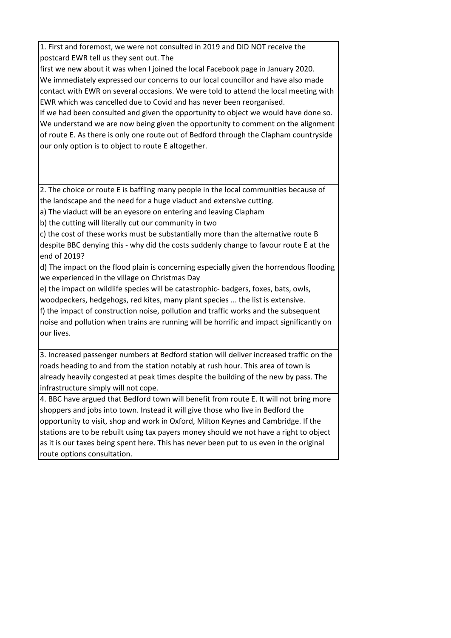1. First and foremost, we were not consulted in 2019 and DID NOT receive the postcard EWR tell us they sent out. The

first we new about it was when I joined the local Facebook page in January 2020. We immediately expressed our concerns to our local councillor and have also made contact with EWR on several occasions. We were told to attend the local meeting with EWR which was cancelled due to Covid and has never been reorganised.

If we had been consulted and given the opportunity to object we would have done so. We understand we are now being given the opportunity to comment on the alignment of route E. As there is only one route out of Bedford through the Clapham countryside our only option is to object to route E altogether.

2. The choice or route E is baffling many people in the local communities because of the landscape and the need for a huge viaduct and extensive cutting.

a) The viaduct will be an eyesore on entering and leaving Clapham

b) the cutting will literally cut our community in two

c) the cost of these works must be substantially more than the alternative route B despite BBC denying this - why did the costs suddenly change to favour route E at the end of 2019?

d) The impact on the flood plain is concerning especially given the horrendous flooding we experienced in the village on Christmas Day

e) the impact on wildlife species will be catastrophic- badgers, foxes, bats, owls,

woodpeckers, hedgehogs, red kites, many plant species ... the list is extensive.

f) the impact of construction noise, pollution and traffic works and the subsequent noise and pollution when trains are running will be horrific and impact significantly on our lives.

3. Increased passenger numbers at Bedford station will deliver increased traffic on the roads heading to and from the station notably at rush hour. This area of town is already heavily congested at peak times despite the building of the new by pass. The infrastructure simply will not cope.

4. BBC have argued that Bedford town will benefit from route E. It will not bring more shoppers and jobs into town. Instead it will give those who live in Bedford the opportunity to visit, shop and work in Oxford, Milton Keynes and Cambridge. If the stations are to be rebuilt using tax payers money should we not have a right to object as it is our taxes being spent here. This has never been put to us even in the original route options consultation.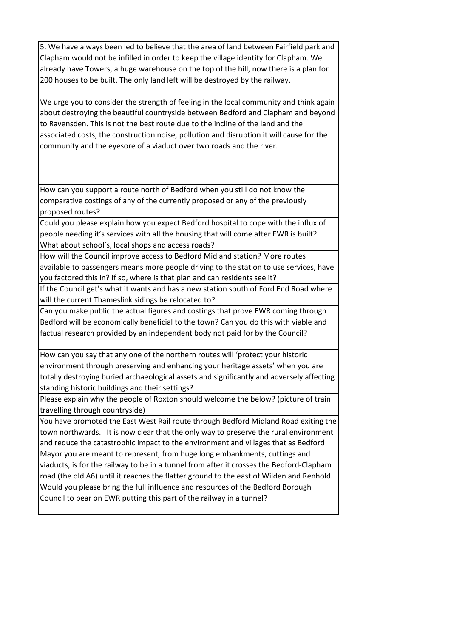5. We have always been led to believe that the area of land between Fairfield park and Clapham would not be infilled in order to keep the village identity for Clapham. We already have Towers, a huge warehouse on the top of the hill, now there is a plan for 200 houses to be built. The only land left will be destroyed by the railway.

We urge you to consider the strength of feeling in the local community and think again about destroying the beautiful countryside between Bedford and Clapham and beyond to Ravensden. This is not the best route due to the incline of the land and the associated costs, the construction noise, pollution and disruption it will cause for the community and the eyesore of a viaduct over two roads and the river.

How can you support a route north of Bedford when you still do not know the comparative costings of any of the currently proposed or any of the previously proposed routes?

Could you please explain how you expect Bedford hospital to cope with the influx of people needing it's services with all the housing that will come after EWR is built? What about school's, local shops and access roads?

How will the Council improve access to Bedford Midland station? More routes available to passengers means more people driving to the station to use services, have you factored this in? If so, where is that plan and can residents see it?

If the Council get's what it wants and has a new station south of Ford End Road where will the current Thameslink sidings be relocated to?

Can you make public the actual figures and costings that prove EWR coming through Bedford will be economically beneficial to the town? Can you do this with viable and factual research provided by an independent body not paid for by the Council?

How can you say that any one of the northern routes will 'protect your historic environment through preserving and enhancing your heritage assets' when you are totally destroying buried archaeological assets and significantly and adversely affecting standing historic buildings and their settings?

Please explain why the people of Roxton should welcome the below? (picture of train travelling through countryside)

You have promoted the East West Rail route through Bedford Midland Road exiting the town northwards. It is now clear that the only way to preserve the rural environment and reduce the catastrophic impact to the environment and villages that as Bedford Mayor you are meant to represent, from huge long embankments, cuttings and viaducts, is for the railway to be in a tunnel from after it crosses the Bedford-Clapham road (the old A6) until it reaches the flatter ground to the east of Wilden and Renhold. Would you please bring the full influence and resources of the Bedford Borough Council to bear on EWR putting this part of the railway in a tunnel?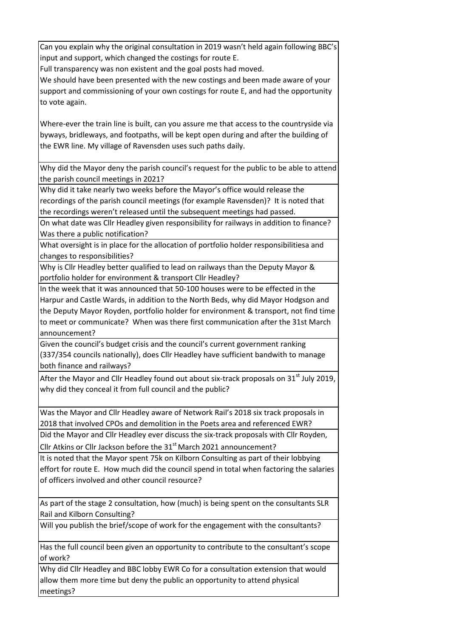Can you explain why the original consultation in 2019 wasn't held again following BBC's input and support, which changed the costings for route E.

Full transparency was non existent and the goal posts had moved.

We should have been presented with the new costings and been made aware of your support and commissioning of your own costings for route E, and had the opportunity to vote again.

Where-ever the train line is built, can you assure me that access to the countryside via byways, bridleways, and footpaths, will be kept open during and after the building of the EWR line. My village of Ravensden uses such paths daily.

Why did the Mayor deny the parish council's request for the public to be able to attend the parish council meetings in 2021?

Why did it take nearly two weeks before the Mayor's office would release the recordings of the parish council meetings (for example Ravensden)? It is noted that the recordings weren't released until the subsequent meetings had passed.

On what date was Cllr Headley given responsibility for railways in addition to finance? Was there a public notification?

What oversight is in place for the allocation of portfolio holder responsibilitiesa and changes to responsibilities?

Why is Cllr Headley better qualified to lead on railways than the Deputy Mayor & portfolio holder for environment & transport Cllr Headley?

In the week that it was announced that 50-100 houses were to be effected in the Harpur and Castle Wards, in addition to the North Beds, why did Mayor Hodgson and the Deputy Mayor Royden, portfolio holder for environment & transport, not find time to meet or communicate? When was there first communication after the 31st March announcement?

Given the council's budget crisis and the council's current government ranking (337/354 councils nationally), does Cllr Headley have sufficient bandwith to manage both finance and railways?

After the Mayor and Cllr Headley found out about six-track proposals on  $31<sup>st</sup>$  July 2019, why did they conceal it from full council and the public?

Was the Mayor and Cllr Headley aware of Network Rail's 2018 six track proposals in 2018 that involved CPOs and demolition in the Poets area and referenced EWR?

Did the Mayor and Cllr Headley ever discuss the six-track proposals with Cllr Royden, Cllr Atkins or Cllr Jackson before the  $31<sup>st</sup>$  March 2021 announcement?

It is noted that the Mayor spent 75k on Kilborn Consulting as part of their lobbying effort for route E. How much did the council spend in total when factoring the salaries of officers involved and other council resource?

As part of the stage 2 consultation, how (much) is being spent on the consultants SLR Rail and Kilborn Consulting?

Will you publish the brief/scope of work for the engagement with the consultants?

Has the full council been given an opportunity to contribute to the consultant's scope of work?

Why did Cllr Headley and BBC lobby EWR Co for a consultation extension that would allow them more time but deny the public an opportunity to attend physical meetings?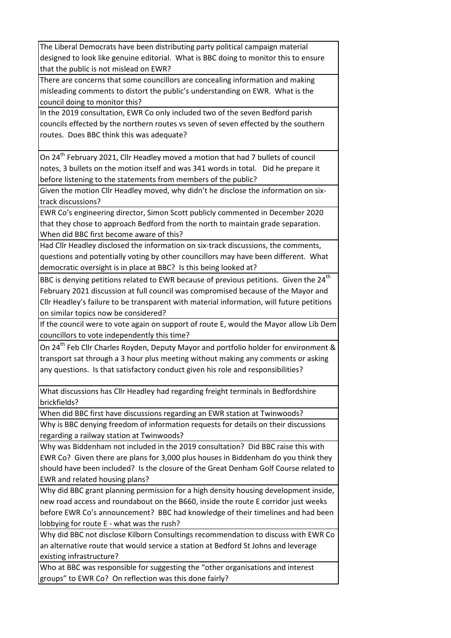The Liberal Democrats have been distributing party political campaign material designed to look like genuine editorial. What is BBC doing to monitor this to ensure that the public is not mislead on EWR?

There are concerns that some councillors are concealing information and making misleading comments to distort the public's understanding on EWR. What is the council doing to monitor this?

In the 2019 consultation, EWR Co only included two of the seven Bedford parish councils effected by the northern routes vs seven of seven effected by the southern routes. Does BBC think this was adequate?

On 24<sup>th</sup> February 2021, Cllr Headley moved a motion that had 7 bullets of council notes, 3 bullets on the motion itself and was 341 words in total. Did he prepare it before listening to the statements from members of the public?

Given the motion Cllr Headley moved, why didn't he disclose the information on sixtrack discussions?

EWR Co's engineering director, Simon Scott publicly commented in December 2020 that they chose to approach Bedford from the north to maintain grade separation. When did BBC first become aware of this?

Had Cllr Headley disclosed the information on six-track discussions, the comments, questions and potentially voting by other councillors may have been different. What democratic oversight is in place at BBC? Is this being looked at?

BBC is denying petitions related to EWR because of previous petitions. Given the  $24<sup>th</sup>$ February 2021 discussion at full council was compromised because of the Mayor and Cllr Headley's failure to be transparent with material information, will future petitions on similar topics now be considered?

If the council were to vote again on support of route E, would the Mayor allow Lib Dem councillors to vote independently this time?

On 24<sup>th</sup> Feb Cllr Charles Royden, Deputy Mayor and portfolio holder for environment & transport sat through a 3 hour plus meeting without making any comments or asking any questions. Is that satisfactory conduct given his role and responsibilities?

What discussions has Cllr Headley had regarding freight terminals in Bedfordshire brickfields?

When did BBC first have discussions regarding an EWR station at Twinwoods?

Why is BBC denying freedom of information requests for details on their discussions regarding a railway station at Twinwoods?

Why was Biddenham not included in the 2019 consultation? Did BBC raise this with EWR Co? Given there are plans for 3,000 plus houses in Biddenham do you think they should have been included? Is the closure of the Great Denham Golf Course related to EWR and related housing plans?

Why did BBC grant planning permission for a high density housing development inside, new road access and roundabout on the B660, inside the route E corridor just weeks before EWR Co's announcement? BBC had knowledge of their timelines and had been lobbying for route E - what was the rush?

Why did BBC not disclose Kilborn Consultings recommendation to discuss with EWR Co an alternative route that would service a station at Bedford St Johns and leverage existing infrastructure?

Who at BBC was responsible for suggesting the "other organisations and interest groups" to EWR Co? On reflection was this done fairly?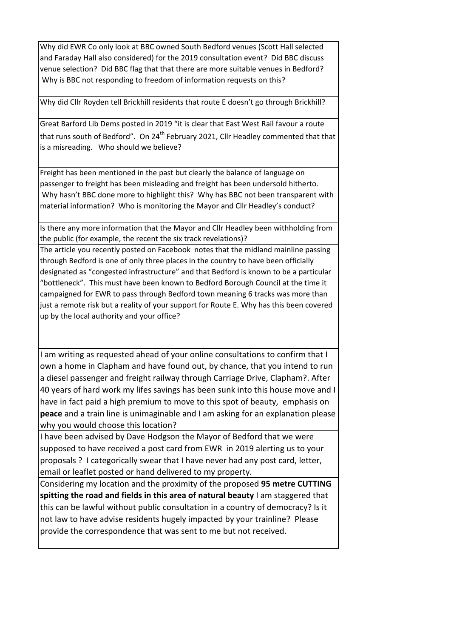Why did EWR Co only look at BBC owned South Bedford venues (Scott Hall selected and Faraday Hall also considered) for the 2019 consultation event? Did BBC discuss venue selection? Did BBC flag that that there are more suitable venues in Bedford? Why is BBC not responding to freedom of information requests on this?

Why did Cllr Royden tell Brickhill residents that route E doesn't go through Brickhill?

Great Barford Lib Dems posted in 2019 "it is clear that East West Rail favour a route that runs south of Bedford". On 24<sup>th</sup> February 2021, Cllr Headley commented that that is a misreading. Who should we believe?

Freight has been mentioned in the past but clearly the balance of language on passenger to freight has been misleading and freight has been undersold hitherto. Why hasn't BBC done more to highlight this? Why has BBC not been transparent with material information? Who is monitoring the Mayor and Cllr Headley's conduct?

Is there any more information that the Mayor and Cllr Headley been withholding from the public (for example, the recent the six track revelations)?

The article you recently posted on Facebook notes that the midland mainline passing through Bedford is one of only three places in the country to have been officially designated as "congested infrastructure" and that Bedford is known to be a particular "bottleneck". This must have been known to Bedford Borough Council at the time it campaigned for EWR to pass through Bedford town meaning 6 tracks was more than just a remote risk but a reality of your support for Route E. Why has this been covered up by the local authority and your office?

I am writing as requested ahead of your online consultations to confirm that I own a home in Clapham and have found out, by chance, that you intend to run a diesel passenger and freight railway through Carriage Drive, Clapham?. After 40 years of hard work my lifes savings has been sunk into this house move and I have in fact paid a high premium to move to this spot of beauty, emphasis on **peace** and a train line is unimaginable and I am asking for an explanation please why you would choose this location?

I have been advised by Dave Hodgson the Mayor of Bedford that we were supposed to have received a post card from EWR in 2019 alerting us to your proposals ? I categorically swear that I have never had any post card, letter, email or leaflet posted or hand delivered to my property.

Considering my location and the proximity of the proposed **95 metre CUTTING spitting the road and fields in this area of natural beauty** I am staggered that this can be lawful without public consultation in a country of democracy? Is it not law to have advise residents hugely impacted by your trainline? Please provide the correspondence that was sent to me but not received.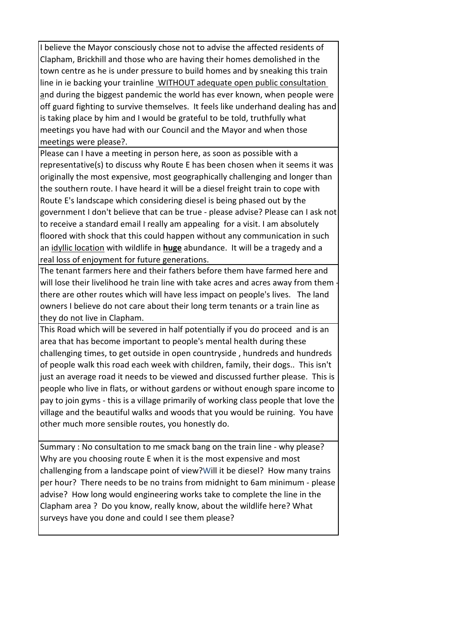I believe the Mayor consciously chose not to advise the affected residents of Clapham, Brickhill and those who are having their homes demolished in the town centre as he is under pressure to build homes and by sneaking this train line in ie backing your trainline WITHOUT adequate open public consultation and during the biggest pandemic the world has ever known, when people were off guard fighting to survive themselves. It feels like underhand dealing has and is taking place by him and I would be grateful to be told, truthfully what meetings you have had with our Council and the Mayor and when those meetings were please?.

Please can I have a meeting in person here, as soon as possible with a representative(s) to discuss why Route E has been chosen when it seems it was originally the most expensive, most geographically challenging and longer than the southern route. I have heard it will be a diesel freight train to cope with Route E's landscape which considering diesel is being phased out by the government I don't believe that can be true - please advise? Please can I ask not to receive a standard email I really am appealing for a visit. I am absolutely floored with shock that this could happen without any communication in such an idyllic location with wildlife in **huge** abundance. It will be a tragedy and a real loss of enjoyment for future generations.

The tenant farmers here and their fathers before them have farmed here and will lose their livelihood he train line with take acres and acres away from them there are other routes which will have less impact on people's lives. The land owners I believe do not care about their long term tenants or a train line as they do not live in Clapham.

This Road which will be severed in half potentially if you do proceed and is an area that has become important to people's mental health during these challenging times, to get outside in open countryside , hundreds and hundreds of people walk this road each week with children, family, their dogs.. This isn't just an average road it needs to be viewed and discussed further please. This is people who live in flats, or without gardens or without enough spare income to pay to join gyms - this is a village primarily of working class people that love the village and the beautiful walks and woods that you would be ruining. You have other much more sensible routes, you honestly do.

Summary : No consultation to me smack bang on the train line - why please? Why are you choosing route E when it is the most expensive and most challenging from a landscape point of view?Will it be diesel? How many trains per hour? There needs to be no trains from midnight to 6am minimum - please advise? How long would engineering works take to complete the line in the Clapham area ? Do you know, really know, about the wildlife here? What surveys have you done and could I see them please?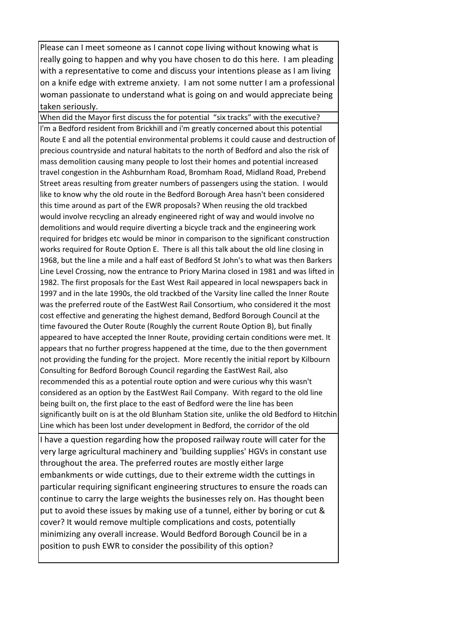Please can I meet someone as I cannot cope living without knowing what is really going to happen and why you have chosen to do this here. I am pleading with a representative to come and discuss your intentions please as I am living on a knife edge with extreme anxiety. I am not some nutter I am a professional woman passionate to understand what is going on and would appreciate being taken seriously.

When did the Mayor first discuss the for potential "six tracks" with the executive? I'm a Bedford resident from Brickhill and i'm greatly concerned about this potential Route E and all the potential environmental problems it could cause and destruction of precious countryside and natural habitats to the north of Bedford and also the risk of mass demolition causing many people to lost their homes and potential increased travel congestion in the Ashburnham Road, Bromham Road, Midland Road, Prebend Street areas resulting from greater numbers of passengers using the station. I would like to know why the old route in the Bedford Borough Area hasn't been considered this time around as part of the EWR proposals? When reusing the old trackbed would involve recycling an already engineered right of way and would involve no demolitions and would require diverting a bicycle track and the engineering work required for bridges etc would be minor in comparison to the significant construction works required for Route Option E. There is all this talk about the old line closing in 1968, but the line a mile and a half east of Bedford St John's to what was then Barkers Line Level Crossing, now the entrance to Priory Marina closed in 1981 and was lifted in 1982. The first proposals for the East West Rail appeared in local newspapers back in 1997 and in the late 1990s, the old trackbed of the Varsity line called the Inner Route was the preferred route of the EastWest Rail Consortium, who considered it the most cost effective and generating the highest demand, Bedford Borough Council at the time favoured the Outer Route (Roughly the current Route Option B), but finally appeared to have accepted the Inner Route, providing certain conditions were met. It appears that no further progress happened at the time, due to the then government not providing the funding for the project. More recently the initial report by Kilbourn Consulting for Bedford Borough Council regarding the EastWest Rail, also recommended this as a potential route option and were curious why this wasn't considered as an option by the EastWest Rail Company. With regard to the old line being built on, the first place to the east of Bedford were the line has been significantly built on is at the old Blunham Station site, unlike the old Bedford to Hitchin Line which has been lost under development in Bedford, the corridor of the old

 I have a question regarding how the proposed railway route will cater for the very large agricultural machinery and 'building supplies' HGVs in constant use throughout the area. The preferred routes are mostly either large embankments or wide cuttings, due to their extreme width the cuttings in particular requiring significant engineering structures to ensure the roads can continue to carry the large weights the businesses rely on. Has thought been put to avoid these issues by making use of a tunnel, either by boring or cut & cover? It would remove multiple complications and costs, potentially minimizing any overall increase. Would Bedford Borough Council be in a position to push EWR to consider the possibility of this option?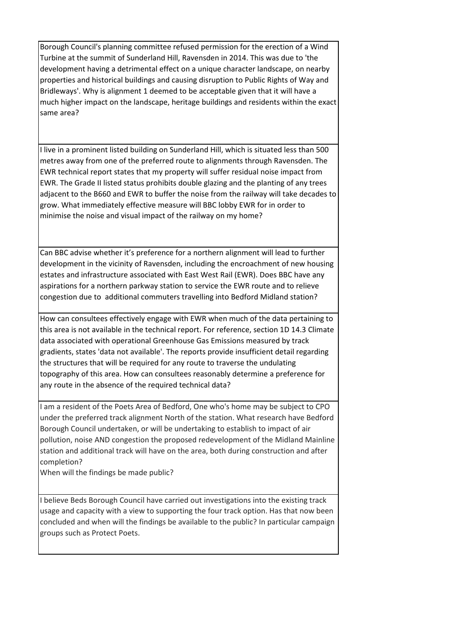Borough Council's planning committee refused permission for the erection of a Wind Turbine at the summit of Sunderland Hill, Ravensden in 2014. This was due to 'the development having a detrimental effect on a unique character landscape, on nearby properties and historical buildings and causing disruption to Public Rights of Way and Bridleways'. Why is alignment 1 deemed to be acceptable given that it will have a much higher impact on the landscape, heritage buildings and residents within the exact same area?

I live in a prominent listed building on Sunderland Hill, which is situated less than 500 metres away from one of the preferred route to alignments through Ravensden. The EWR technical report states that my property will suffer residual noise impact from EWR. The Grade II listed status prohibits double glazing and the planting of any trees adjacent to the B660 and EWR to buffer the noise from the railway will take decades to grow. What immediately effective measure will BBC lobby EWR for in order to minimise the noise and visual impact of the railway on my home?

Can BBC advise whether it's preference for a northern alignment will lead to further development in the vicinity of Ravensden, including the encroachment of new housing estates and infrastructure associated with East West Rail (EWR). Does BBC have any aspirations for a northern parkway station to service the EWR route and to relieve congestion due to additional commuters travelling into Bedford Midland station?

How can consultees effectively engage with EWR when much of the data pertaining to this area is not available in the technical report. For reference, section 1D 14.3 Climate data associated with operational Greenhouse Gas Emissions measured by track gradients, states 'data not available'. The reports provide insufficient detail regarding the structures that will be required for any route to traverse the undulating topography of this area. How can consultees reasonably determine a preference for any route in the absence of the required technical data?

I am a resident of the Poets Area of Bedford, One who's home may be subject to CPO under the preferred track alignment North of the station. What research have Bedford Borough Council undertaken, or will be undertaking to establish to impact of air pollution, noise AND congestion the proposed redevelopment of the Midland Mainline station and additional track will have on the area, both during construction and after completion?

When will the findings be made public?

I believe Beds Borough Council have carried out investigations into the existing track usage and capacity with a view to supporting the four track option. Has that now been concluded and when will the findings be available to the public? In particular campaign groups such as Protect Poets.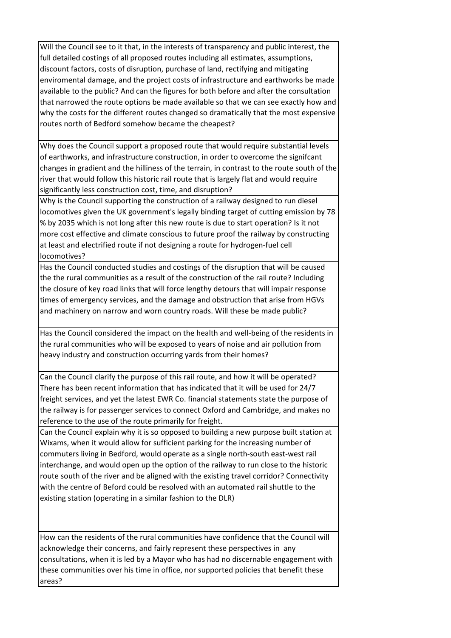Will the Council see to it that, in the interests of transparency and public interest, the full detailed costings of all proposed routes including all estimates, assumptions, discount factors, costs of disruption, purchase of land, rectifying and mitigating enviromental damage, and the project costs of infrastructure and earthworks be made available to the public? And can the figures for both before and after the consultation that narrowed the route options be made available so that we can see exactly how and why the costs for the different routes changed so dramatically that the most expensive routes north of Bedford somehow became the cheapest?

Why does the Council support a proposed route that would require substantial levels of earthworks, and infrastructure construction, in order to overcome the signifcant changes in gradient and the hilliness of the terrain, in contrast to the route south of the river that would follow this historic rail route that is largely flat and would require significantly less construction cost, time, and disruption?

Why is the Council supporting the construction of a railway designed to run diesel locomotives given the UK government's legally binding target of cutting emission by 78 % by 2035 which is not long after this new route is due to start operation? Is it not more cost effective and climate conscious to future proof the railway by constructing at least and electrified route if not designing a route for hydrogen-fuel cell locomotives?

Has the Council conducted studies and costings of the disruption that will be caused the the rural communities as a result of the construction of the rail route? Including the closure of key road links that will force lengthy detours that will impair response times of emergency services, and the damage and obstruction that arise from HGVs and machinery on narrow and worn country roads. Will these be made public?

Has the Council considered the impact on the health and well-being of the residents in the rural communities who will be exposed to years of noise and air pollution from heavy industry and construction occurring yards from their homes?

Can the Council clarify the purpose of this rail route, and how it will be operated? There has been recent information that has indicated that it will be used for 24/7 freight services, and yet the latest EWR Co. financial statements state the purpose of the railway is for passenger services to connect Oxford and Cambridge, and makes no reference to the use of the route primarily for freight.

Can the Council explain why it is so opposed to building a new purpose built station at Wixams, when it would allow for sufficient parking for the increasing number of commuters living in Bedford, would operate as a single north-south east-west rail interchange, and would open up the option of the railway to run close to the historic route south of the river and be aligned with the existing travel corridor? Connectivity with the centre of Beford could be resolved with an automated rail shuttle to the existing station (operating in a similar fashion to the DLR)

How can the residents of the rural communities have confidence that the Council will acknowledge their concerns, and fairly represent these perspectives in any consultations, when it is led by a Mayor who has had no discernable engagement with these communities over his time in office, nor supported policies that benefit these areas?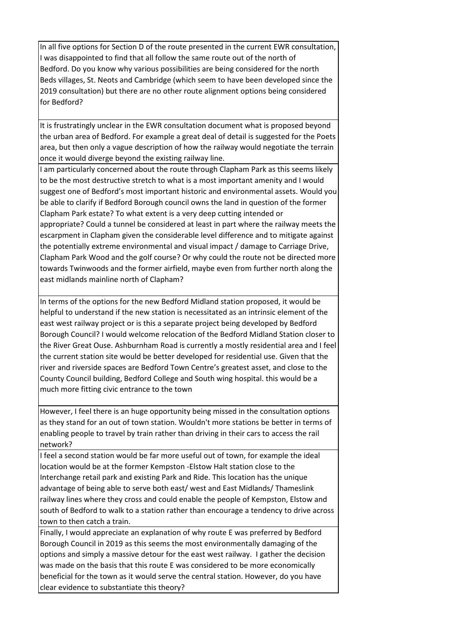In all five options for Section D of the route presented in the current EWR consultation, I was disappointed to find that all follow the same route out of the north of Bedford. Do you know why various possibilities are being considered for the north Beds villages, St. Neots and Cambridge (which seem to have been developed since the 2019 consultation) but there are no other route alignment options being considered for Bedford?

It is frustratingly unclear in the EWR consultation document what is proposed beyond the urban area of Bedford. For example a great deal of detail is suggested for the Poets area, but then only a vague description of how the railway would negotiate the terrain once it would diverge beyond the existing railway line.

I am particularly concerned about the route through Clapham Park as this seems likely to be the most destructive stretch to what is a most important amenity and I would suggest one of Bedford's most important historic and environmental assets. Would you be able to clarify if Bedford Borough council owns the land in question of the former Clapham Park estate? To what extent is a very deep cutting intended or appropriate? Could a tunnel be considered at least in part where the railway meets the escarpment in Clapham given the considerable level difference and to mitigate against the potentially extreme environmental and visual impact / damage to Carriage Drive, Clapham Park Wood and the golf course? Or why could the route not be directed more towards Twinwoods and the former airfield, maybe even from further north along the east midlands mainline north of Clapham?

In terms of the options for the new Bedford Midland station proposed, it would be helpful to understand if the new station is necessitated as an intrinsic element of the east west railway project or is this a separate project being developed by Bedford Borough Council? I would welcome relocation of the Bedford Midland Station closer to the River Great Ouse. Ashburnham Road is currently a mostly residential area and I feel the current station site would be better developed for residential use. Given that the river and riverside spaces are Bedford Town Centre's greatest asset, and close to the County Council building, Bedford College and South wing hospital. this would be a much more fitting civic entrance to the town

However, I feel there is an huge opportunity being missed in the consultation options as they stand for an out of town station. Wouldn't more stations be better in terms of enabling people to travel by train rather than driving in their cars to access the rail network?

I feel a second station would be far more useful out of town, for example the ideal location would be at the former Kempston -Elstow Halt station close to the Interchange retail park and existing Park and Ride. This location has the unique advantage of being able to serve both east/ west and East Midlands/ Thameslink railway lines where they cross and could enable the people of Kempston, Elstow and south of Bedford to walk to a station rather than encourage a tendency to drive across town to then catch a train.

Finally, I would appreciate an explanation of why route E was preferred by Bedford Borough Council in 2019 as this seems the most environmentally damaging of the options and simply a massive detour for the east west railway. I gather the decision was made on the basis that this route E was considered to be more economically beneficial for the town as it would serve the central station. However, do you have clear evidence to substantiate this theory?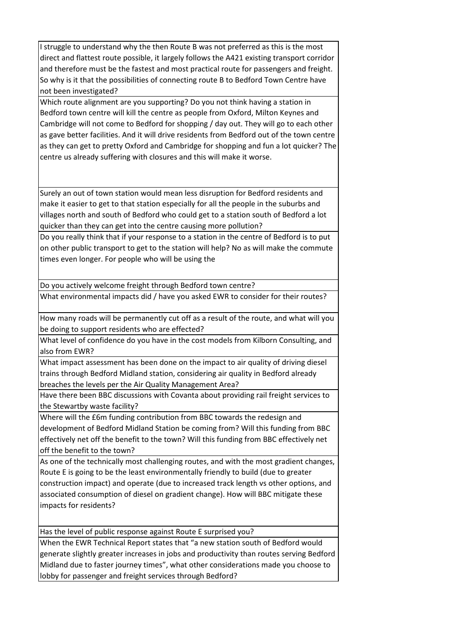I struggle to understand why the then Route B was not preferred as this is the most direct and flattest route possible, it largely follows the A421 existing transport corridor and therefore must be the fastest and most practical route for passengers and freight. So why is it that the possibilities of connecting route B to Bedford Town Centre have not been investigated?

Which route alignment are you supporting? Do you not think having a station in Bedford town centre will kill the centre as people from Oxford, Milton Keynes and Cambridge will not come to Bedford for shopping / day out. They will go to each other as gave better facilities. And it will drive residents from Bedford out of the town centre as they can get to pretty Oxford and Cambridge for shopping and fun a lot quicker? The centre us already suffering with closures and this will make it worse.

Surely an out of town station would mean less disruption for Bedford residents and make it easier to get to that station especially for all the people in the suburbs and villages north and south of Bedford who could get to a station south of Bedford a lot quicker than they can get into the centre causing more pollution?

Do you really think that if your response to a station in the centre of Bedford is to put on other public transport to get to the station will help? No as will make the commute times even longer. For people who will be using the

Do you actively welcome freight through Bedford town centre?

What environmental impacts did / have you asked EWR to consider for their routes?

How many roads will be permanently cut off as a result of the route, and what will you be doing to support residents who are effected?

What level of confidence do you have in the cost models from Kilborn Consulting, and also from EWR?

What impact assessment has been done on the impact to air quality of driving diesel trains through Bedford Midland station, considering air quality in Bedford already breaches the levels per the Air Quality Management Area?

Have there been BBC discussions with Covanta about providing rail freight services to the Stewartby waste facility?

Where will the £6m funding contribution from BBC towards the redesign and development of Bedford Midland Station be coming from? Will this funding from BBC effectively net off the benefit to the town? Will this funding from BBC effectively net off the benefit to the town?

As one of the technically most challenging routes, and with the most gradient changes, Route E is going to be the least environmentally friendly to build (due to greater construction impact) and operate (due to increased track length vs other options, and associated consumption of diesel on gradient change). How will BBC mitigate these impacts for residents?

Has the level of public response against Route E surprised you?

When the EWR Technical Report states that "a new station south of Bedford would generate slightly greater increases in jobs and productivity than routes serving Bedford Midland due to faster journey times", what other considerations made you choose to lobby for passenger and freight services through Bedford?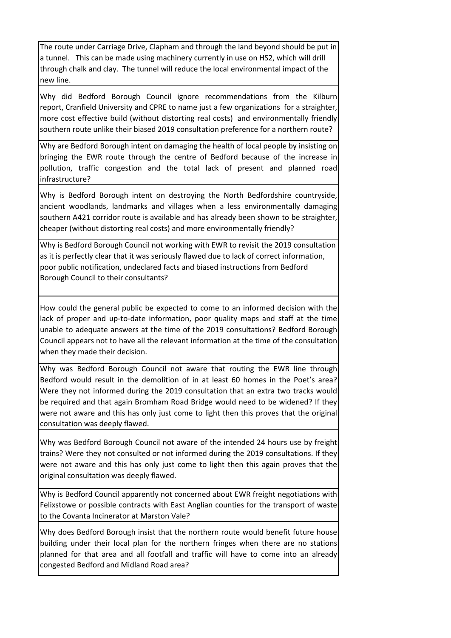The route under Carriage Drive, Clapham and through the land beyond should be put in a tunnel. This can be made using machinery currently in use on HS2, which will drill through chalk and clay. The tunnel will reduce the local environmental impact of the new line.

Why did Bedford Borough Council ignore recommendations from the Kilburn report, Cranfield University and CPRE to name just a few organizations for a straighter, more cost effective build (without distorting real costs) and environmentally friendly southern route unlike their biased 2019 consultation preference for a northern route?

Why are Bedford Borough intent on damaging the health of local people by insisting on bringing the EWR route through the centre of Bedford because of the increase in pollution, traffic congestion and the total lack of present and planned road infrastructure?

Why is Bedford Borough intent on destroying the North Bedfordshire countryside, ancient woodlands, landmarks and villages when a less environmentally damaging southern A421 corridor route is available and has already been shown to be straighter, cheaper (without distorting real costs) and more environmentally friendly?

Why is Bedford Borough Council not working with EWR to revisit the 2019 consultation as it is perfectly clear that it was seriously flawed due to lack of correct information, poor public notification, undeclared facts and biased instructions from Bedford Borough Council to their consultants?

How could the general public be expected to come to an informed decision with the lack of proper and up-to-date information, poor quality maps and staff at the time unable to adequate answers at the time of the 2019 consultations? Bedford Borough Council appears not to have all the relevant information at the time of the consultation when they made their decision.

Why was Bedford Borough Council not aware that routing the EWR line through Bedford would result in the demolition of in at least 60 homes in the Poet's area? Were they not informed during the 2019 consultation that an extra two tracks would be required and that again Bromham Road Bridge would need to be widened? If they were not aware and this has only just come to light then this proves that the original consultation was deeply flawed.

Why was Bedford Borough Council not aware of the intended 24 hours use by freight trains? Were they not consulted or not informed during the 2019 consultations. If they were not aware and this has only just come to light then this again proves that the original consultation was deeply flawed.

Why is Bedford Council apparently not concerned about EWR freight negotiations with Felixstowe or possible contracts with East Anglian counties for the transport of waste to the Covanta Incinerator at Marston Vale?

Why does Bedford Borough insist that the northern route would benefit future house building under their local plan for the northern fringes when there are no stations planned for that area and all footfall and traffic will have to come into an already congested Bedford and Midland Road area?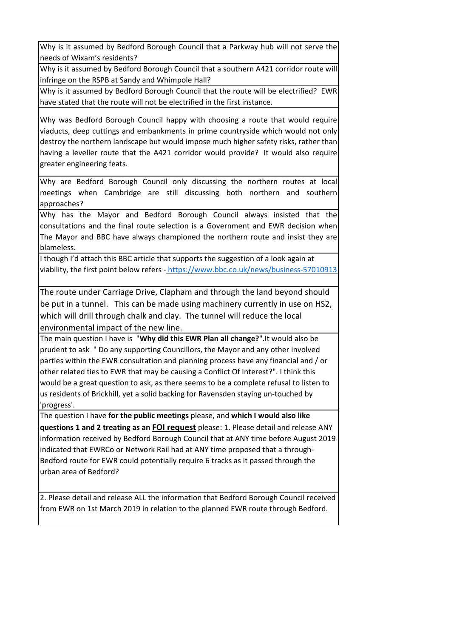Why is it assumed by Bedford Borough Council that a Parkway hub will not serve the needs of Wixam's residents?

Why is it assumed by Bedford Borough Council that a southern A421 corridor route will infringe on the RSPB at Sandy and Whimpole Hall?

Why is it assumed by Bedford Borough Council that the route will be electrified? EWR have stated that the route will not be electrified in the first instance.

Why was Bedford Borough Council happy with choosing a route that would require viaducts, deep cuttings and embankments in prime countryside which would not only destroy the northern landscape but would impose much higher safety risks, rather than having a leveller route that the A421 corridor would provide? It would also require greater engineering feats.

Why are Bedford Borough Council only discussing the northern routes at local meetings when Cambridge are still discussing both northern and southern approaches?

Why has the Mayor and Bedford Borough Council always insisted that the consultations and the final route selection is a Government and EWR decision when The Mayor and BBC have always championed the northern route and insist they are blameless.

[I though I'd attach this BBC article that supports the suggestion of a look again at](https://www.bbc.co.uk/news/business-57010913)  [viability, the first point below refers -](https://www.bbc.co.uk/news/business-57010913) <https://www.bbc.co.uk/news/business-57010913>

The route under Carriage Drive, Clapham and through the land beyond should be put in a tunnel. This can be made using machinery currently in use on HS2, which will drill through chalk and clay. The tunnel will reduce the local environmental impact of the new line.

The main question I have is "**Why did this EWR Plan all change?**".It would also be prudent to ask " Do any supporting Councillors, the Mayor and any other involved parties within the EWR consultation and planning process have any financial and / or other related ties to EWR that may be causing a Conflict Of Interest?". I think this would be a great question to ask, as there seems to be a complete refusal to listen to us residents of Brickhill, yet a solid backing for Ravensden staying un-touched by 'progress'.

The question I have **for the public meetings** please, and **which I would also like questions 1 and 2 treating as an FOI request** please: 1. Please detail and release ANY information received by Bedford Borough Council that at ANY time before August 2019 indicated that EWRCo or Network Rail had at ANY time proposed that a through-Bedford route for EWR could potentially require 6 tracks as it passed through the urban area of Bedford?

2. Please detail and release ALL the information that Bedford Borough Council received from EWR on 1st March 2019 in relation to the planned EWR route through Bedford.